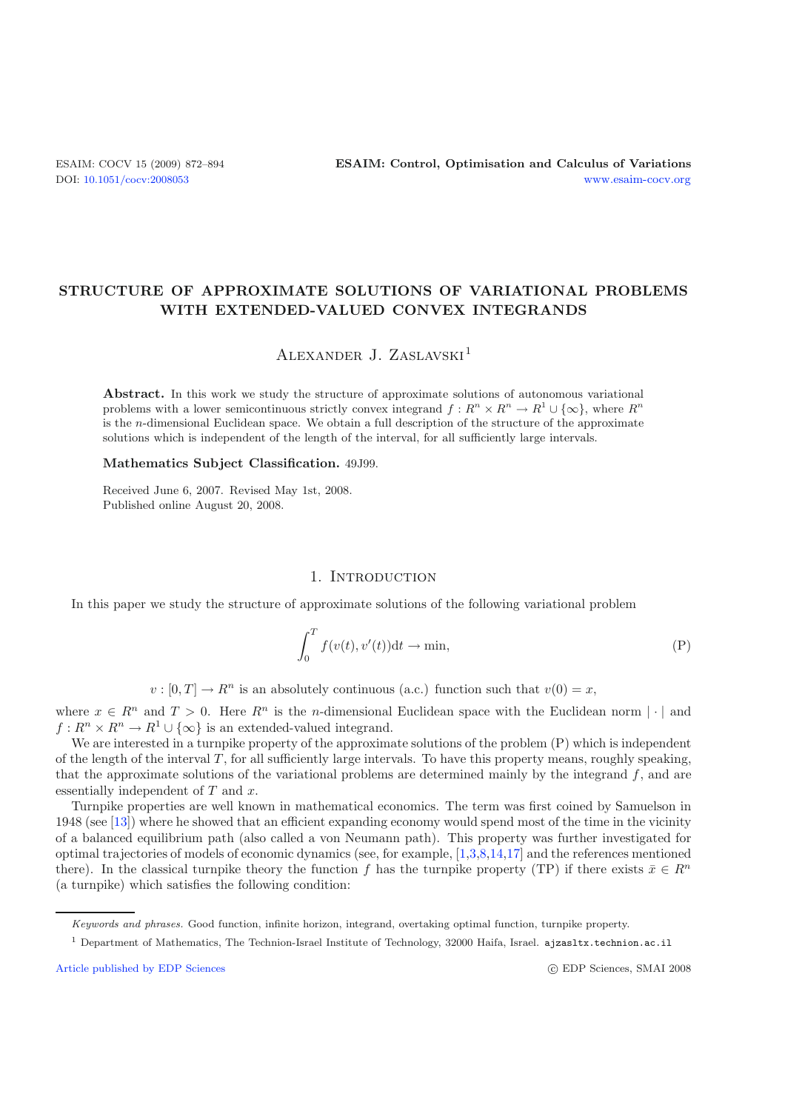# **STRUCTURE OF APPROXIMATE SOLUTIONS OF VARIATIONAL PROBLEMS WITH EXTENDED-VALUED CONVEX INTEGRANDS**

Alexander J. Zaslavski<sup>1</sup>

**Abstract.** In this work we study the structure of approximate solutions of autonomous variational problems with a lower semicontinuous strictly convex integrand  $f: R^n \times R^n \to R^1 \cup \{\infty\}$ , where  $R^n$ is the *n*-dimensional Euclidean space. We obtain a full description of the structure of the approximate solutions which is independent of the length of the interval, for all sufficiently large intervals.

#### **Mathematics Subject Classification.** 49J99.

Received June 6, 2007. Revised May 1st, 2008. Published online August 20, 2008.

### 1. INTRODUCTION

In this paper we study the structure of approximate solutions of the following variational problem

$$
\int_0^T f(v(t), v'(t))dt \to \min,\tag{P}
$$

 $v : [0, T] \to R^n$  is an absolutely continuous (a.c.) function such that  $v(0) = x$ ,

where  $x \in R^n$  and  $T > 0$ . Here  $R^n$  is the *n*-dimensional Euclidean space with the Euclidean norm | | and  $f: R^n \times R^n \to R^1 \cup {\infty}$  is an extended-valued integrand.

We are interested in a turnpike property of the approximate solutions of the problem (P) which is independent of the length of the interval  $T$ , for all sufficiently large intervals. To have this property means, roughly speaking, that the approximate solutions of the variational problems are determined mainly by the integrand  $f$ , and are essentially independent of  $T$  and  $x$ .

Turnpike properties are well known in mathematical economics. The term was first coined by Samuelson in 1948 (see [\[13](#page-22-0)]) where he showed that an efficient expanding economy would spend most of the time in the vicinity of a balanced equilibrium path (also called a von Neumann path). This property was further investigated for optimal trajectories of models of economic dynamics (see, for example, [\[1](#page-22-1)[,3](#page-22-2)[,8](#page-22-3)[,14](#page-22-4)[,17](#page-22-5)] and the references mentioned there). In the classical turnpike theory the function f has the turnpike property (TP) if there exists  $\bar{x} \in R^n$ (a turnpike) which satisfies the following condition:

*Keywords and phrases.* Good function, infinite horizon, integrand, overtaking optimal function, turnpike property.

<sup>1</sup> Department of Mathematics, The Technion-Israel Institute of Technology, 32000 Haifa, Israel. ajzasltx.technion.ac.il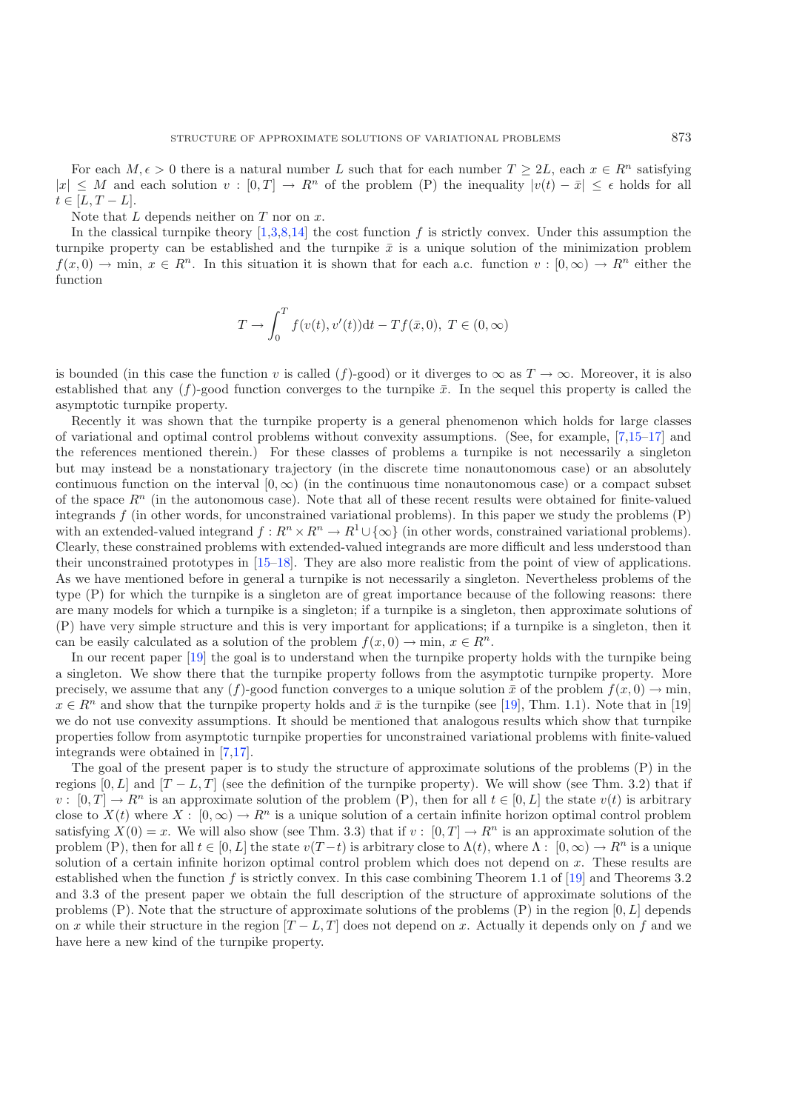For each  $M, \epsilon > 0$  there is a natural number L such that for each number  $T \geq 2L$ , each  $x \in R^n$  satisfying  $\leq M$  and each solution  $v : [0, T] \to R^n$  of the problem  $(P)$  the inequality  $|v(t) - \bar{x}| \leq \epsilon$  holds for all  $|x| \leq M$  and each solution  $v : [0, T] \to R^n$  of the problem (P) the inequality  $|v(t) - \bar{x}| \leq \epsilon$  holds for all  $t \in [L, T - L]$  $t \in [L, T - L].$ 

Note that  $L$  depends neither on  $T$  nor on  $x$ .

In the classical turnpike theory  $[1,3,8,14]$  $[1,3,8,14]$  $[1,3,8,14]$  $[1,3,8,14]$  the cost function f is strictly convex. Under this assumption the turnpike property can be established and the turnpike  $\bar{x}$  is a unique solution of the minimization problem  $f(x, 0) \to \min, x \in \mathbb{R}^n$ . In this situation it is shown that for each a.c. function  $v : [0, \infty) \to \mathbb{R}^n$  either the function

$$
T \to \int_0^T f(v(t), v'(t))dt - Tf(\bar{x}, 0), T \in (0, \infty)
$$

is bounded (in this case the function v is called (f)-good) or it diverges to  $\infty$  as  $T \to \infty$ . Moreover, it is also established that any  $(f)$ -good function converges to the turnpike  $\bar{x}$ . In the sequel this property is called the asymptotic turnpike property.

Recently it was shown that the turnpike property is a general phenomenon which holds for large classes of variational and optimal control problems without convexity assumptions. (See, for example, [\[7](#page-22-6)[,15](#page-22-7)[–17](#page-22-5)] and the references mentioned therein.) For these classes of problems a turnpike is not necessarily a singleton but may instead be a nonstationary trajectory (in the discrete time nonautonomous case) or an absolutely continuous function on the interval  $[0, \infty)$  (in the continuous time nonautonomous case) or a compact subset of the space  $R^n$  (in the autonomous case). Note that all of these recent results were obtained for finite-valued integrands  $f$  (in other words, for unconstrained variational problems). In this paper we study the problems  $(P)$ with an extended-valued integrand  $f: R^n \times R^n \to R^1 \cup {\infty}$  (in other words, constrained variational problems). Clearly, these constrained problems with extended-valued integrands are more difficult and less understood than their unconstrained prototypes in [\[15](#page-22-7)[–18\]](#page-22-8). They are also more realistic from the point of view of applications. As we have mentioned before in general a turnpike is not necessarily a singleton. Nevertheless problems of the type (P) for which the turnpike is a singleton are of great importance because of the following reasons: there are many models for which a turnpike is a singleton; if a turnpike is a singleton, then approximate solutions of (P) have very simple structure and this is very important for applications; if a turnpike is a singleton, then it can be easily calculated as a solution of the problem  $f(x, 0) \to \min, x \in \mathbb{R}^n$ .

In our recent paper [\[19](#page-22-9)] the goal is to understand when the turnpike property holds with the turnpike being a singleton. We show there that the turnpike property follows from the asymptotic turnpike property. More precisely, we assume that any  $(f)$ -good function converges to a unique solution  $\bar{x}$  of the problem  $f(x, 0) \to \min$ ,  $x \in \mathbb{R}^n$  and show that the turnpike property holds and  $\bar{x}$  is the turnpike (see [\[19](#page-22-9)], Thm. 1.1). Note that in [19] we do not use convexity assumptions. It should be mentioned that analogous results which show that turnpike properties follow from asymptotic turnpike properties for unconstrained variational problems with finite-valued integrands were obtained in [\[7](#page-22-6)[,17\]](#page-22-5).

The goal of the present paper is to study the structure of approximate solutions of the problems (P) in the regions [0, L] and  $[T - L, T]$  (see the definition of the turnpike property). We will show (see Thm. 3.2) that if  $v : [0, T] \to R^n$  is an approximate solution of the problem (P), then for all  $t \in [0, L]$  the state  $v(t)$  is arbitrary close to  $X(t)$  where  $X: [0, \infty) \to \mathbb{R}^n$  is a unique solution of a certain infinite horizon optimal control problem satisfying  $X(0) = x$ . We will also show (see Thm. 3.3) that if  $v : [0, T] \to \mathbb{R}^n$  is an approximate solution of the problem (P), then for all  $t \in [0, L]$  the state  $v(T - t)$  is arbitrary close to  $\Lambda(t)$ , where  $\Lambda: [0, \infty) \to R^n$  is a unique solution of a certain infinite horizon optimal control problem which does not depend on  $x$ . These results are established when the function f is strictly convex. In this case combining Theorem 1.1 of  $[19]$  $[19]$  and Theorems 3.2 and 3.3 of the present paper we obtain the full description of the structure of approximate solutions of the problems  $(P)$ . Note that the structure of approximate solutions of the problems  $(P)$  in the region  $[0, L]$  depends on x while their structure in the region  $[T - L, T]$  does not depend on x. Actually it depends only on f and we have here a new kind of the turnpike property.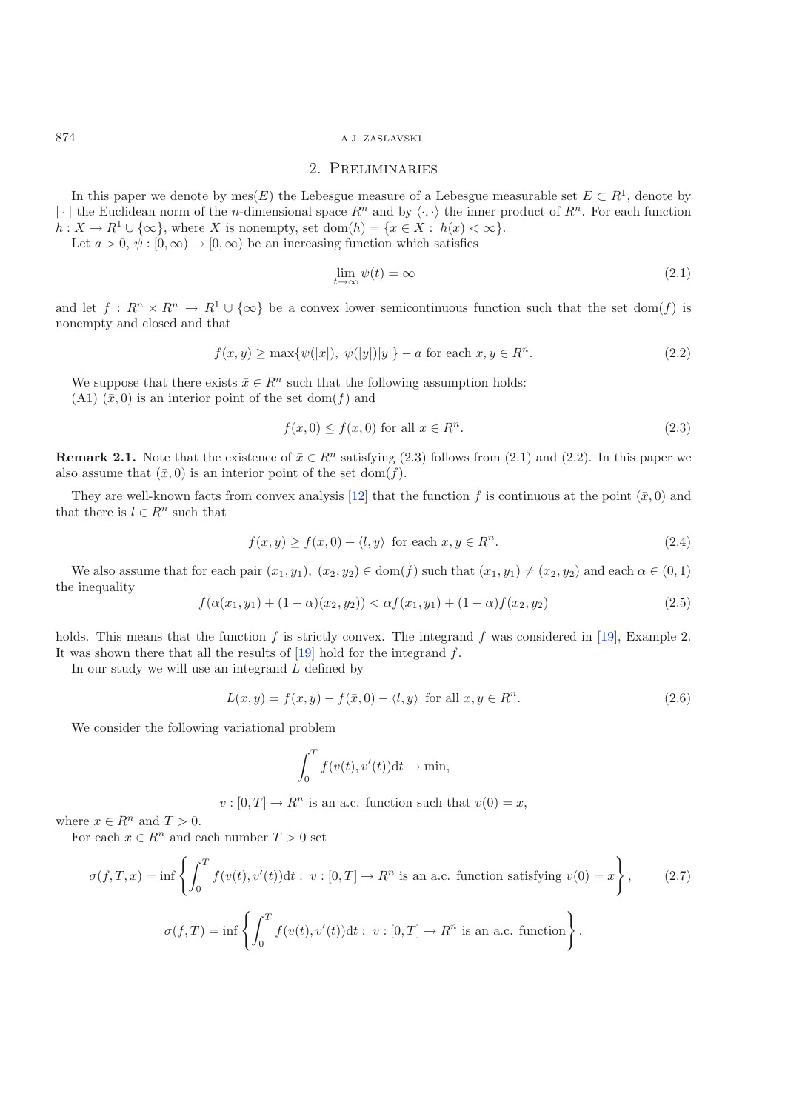#### 2. Preliminaries

In this paper we denote by mes(E) the Lebesgue measure of a Lebesgue measurable set  $E \subset R^1$ , denote by | $\cdot$ | the Euclidean norm of the *n*-dimensional space  $R^n$  and by  $\langle \cdot, \cdot \rangle$  the inner product of  $R^n$ . For each function  $h: X \to R^1 \cup \{ \infty \}$  where X is nonempty set dom(b)  $\Rightarrow$   $\{x \in X : h(x) \leq \infty \}$  $h: X \to R^1 \cup {\infty}$ , where X is nonempty, set  $dom(h) = {x \in X : h(x) < \infty}$ . Let  $a > 0$ ,  $\psi : [0, \infty) \to [0, \infty)$  be an increasing function which satisfies

$$
\lim_{t \to \infty} \psi(t) = \infty \tag{2.1}
$$

and let  $f: R^n \times R^n \to R^1 \cup {\infty}$  be a convex lower semicontinuous function such that the set dom(f) is nonempty and closed and that

$$
f(x,y) \ge \max{\{\psi(|x|), \ \psi(|y|)|y|\}} - a \text{ for each } x, y \in R^n. \tag{2.2}
$$

We suppose that there exists  $\bar{x} \in \mathbb{R}^n$  such that the following assumption holds: (A1)  $(\bar{x}, 0)$  is an interior point of the set dom(f) and

$$
f(\bar{x},0) \le f(x,0) \text{ for all } x \in \mathbb{R}^n. \tag{2.3}
$$

**Remark 2.1.** Note that the existence of  $\bar{x} \in R^n$  satisfying (2.3) follows from (2.1) and (2.2). In this paper we also assume that  $(\bar{x}, 0)$  is an interior point of the set dom(f).

They are well-known facts from convex analysis [\[12](#page-22-10)] that the function f is continuous at the point  $(\bar{x}, 0)$  and that there is  $l \in R^n$  such that

$$
f(x,y) \ge f(\bar{x},0) + \langle l, y \rangle \text{ for each } x, y \in R^n.
$$
 (2.4)

We also assume that for each pair  $(x_1, y_1), (x_2, y_2) \in \text{dom}(f)$  such that  $(x_1, y_1) \neq (x_2, y_2)$  and each  $\alpha \in (0, 1)$ the inequality

$$
f(\alpha(x_1, y_1) + (1 - \alpha)(x_2, y_2)) < \alpha f(x_1, y_1) + (1 - \alpha)f(x_2, y_2) \tag{2.5}
$$

holds. This means that the function f is strictly convex. The integrand f was considered in [\[19](#page-22-9)], Example 2. It was shown there that all the results of  $[19]$  $[19]$  hold for the integrand  $f$ .

In our study we will use an integrand  $L$  defined by

$$
L(x, y) = f(x, y) - f(\bar{x}, 0) - \langle l, y \rangle \text{ for all } x, y \in R^n.
$$
\n
$$
(2.6)
$$

We consider the following variational problem

$$
\int_0^T f(v(t), v'(t)) \mathrm{d}t \to \min,
$$

 $v : [0, T] \to R^n$  is an a.c. function such that  $v(0) = x$ ,

where  $x \in R^n$  and  $T > 0$ .

For each  $x \in R^n$  and each number  $T > 0$  set

$$
\sigma(f, T, x) = \inf \left\{ \int_0^T f(v(t), v'(t)) dt : v : [0, T] \to R^n \text{ is an a.c. function satisfying } v(0) = x \right\},\qquad(2.7)
$$

$$
\sigma(f, T) = \inf \left\{ \int_0^T f(v(t), v'(t)) dt : v : [0, T] \to R^n \text{ is an a.c. function} \right\}.
$$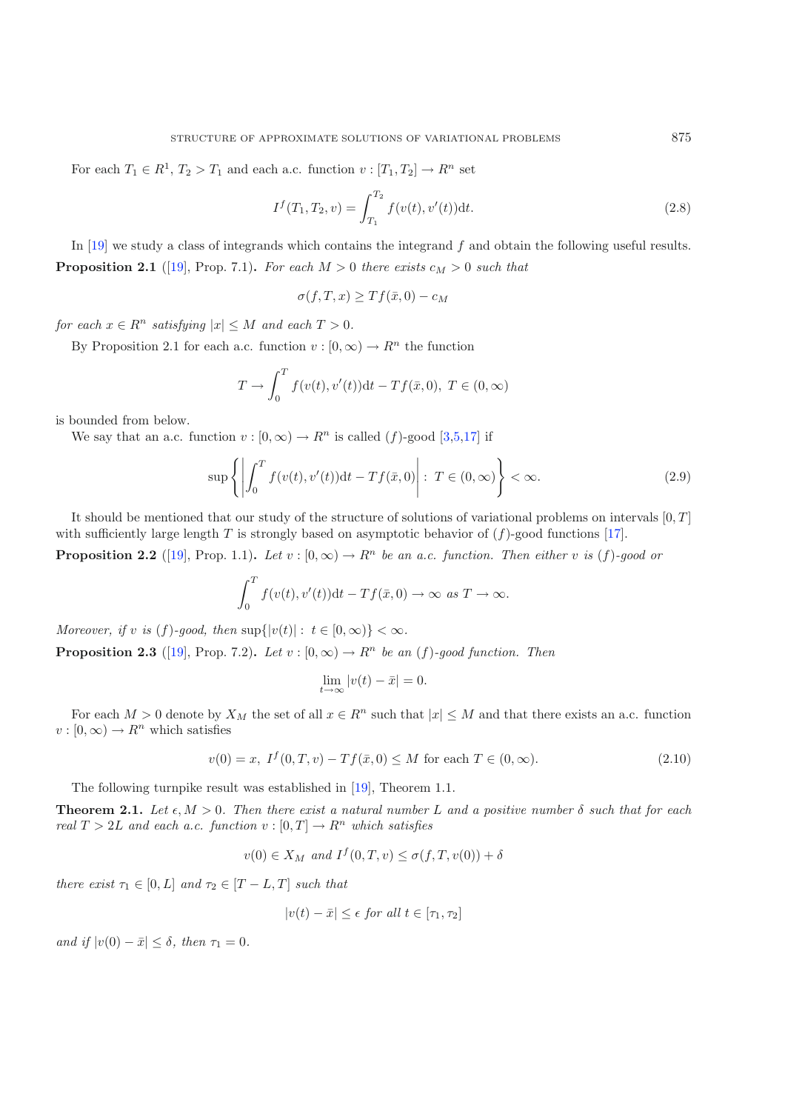For each  $T_1 \in R^1$ ,  $T_2 > T_1$  and each a.c. function  $v : [T_1, T_2] \to R^n$  set

$$
I^{f}(T_1, T_2, v) = \int_{T_1}^{T_2} f(v(t), v'(t)) dt.
$$
\n(2.8)

In  $[19]$  $[19]$  we study a class of integrands which contains the integrand f and obtain the following useful results. **Proposition 2.1** ([\[19](#page-22-9)], Prop. 7.1). For each  $M > 0$  there exists  $c_M > 0$  such that

 $\sigma(f,T,x) \geq Tf(\bar{x},0) - c_M$ 

*for each*  $x \in R^n$  *satisfying*  $|x| \leq M$  *and each*  $T > 0$ *.* 

By Proposition 2.1 for each a.c. function  $v : [0, \infty) \to \mathbb{R}^n$  the function

$$
T \to \int_0^T f(v(t), v'(t)) \, dt - Tf(\bar{x}, 0), \ T \in (0, \infty)
$$

is bounded from below.

We say that an a.c. function  $v : [0, \infty) \to R^n$  is called (f)-good [\[3](#page-22-2)[,5](#page-22-11)[,17\]](#page-22-5) if

$$
\sup\left\{ \left| \int_0^T f(v(t), v'(t))dt - Tf(\bar{x}, 0) \right| : T \in (0, \infty) \right\} < \infty.
$$
 (2.9)

It should be mentioned that our study of the structure of solutions of variational problems on intervals  $[0, T]$ with sufficiently large length T is strongly based on asymptotic behavior of  $(f)$ -good functions [\[17\]](#page-22-5).

**Proposition 2.2** ([\[19](#page-22-9)], Prop. 1.1). Let  $v : [0, \infty) \to R^n$  be an a.c. function. Then either v is (f)-good or

$$
\int_0^T f(v(t), v'(t))dt - Tf(\bar{x}, 0) \to \infty \text{ as } T \to \infty.
$$

*Moreover, if* v *is* (f)*-good, then*  $\sup\{|v(t)| : t \in [0, \infty)\} < \infty$ *.* 

**Proposition 2.3** ([\[19](#page-22-9)], Prop. 7.2). Let  $v : [0, \infty) \to \mathbb{R}^n$  be an (f)-good function. Then

$$
\lim_{t \to \infty} |v(t) - \bar{x}| = 0.
$$

For each  $M > 0$  denote by  $X_M$  the set of all  $x \in \mathbb{R}^n$  such that  $|x| \leq M$  and that there exists an a.c. function  $v : [0, \infty) \to R^n$  which satisfies

$$
v(0) = x, \ I^f(0, T, v) - Tf(\bar{x}, 0) \le M \text{ for each } T \in (0, \infty).
$$
 (2.10)

The following turnpike result was established in [\[19\]](#page-22-9), Theorem 1.1.

**Theorem 2.1.** *Let*  $\epsilon, M > 0$ . Then there exist a natural number L and a positive number  $\delta$  such that for each real  $T > 2L$  and each a c, function  $v : [0, T] \to \mathbb{R}^n$  which satisfies *real*  $T > 2L$  *and each a.c. function*  $v : [0, T] \to R^n$  *which satisfies* 

$$
v(0) \in X_M \ and \ I^f(0,T,v) \le \sigma(f,T,v(0)) + \delta
$$

*there exist*  $\tau_1 \in [0, L]$  *and*  $\tau_2 \in [T - L, T]$  *such that* 

$$
|v(t) - \bar{x}| \le \epsilon \text{ for all } t \in [\tau_1, \tau_2]
$$

*and if*  $|v(0) - \bar{x}| \leq \delta$ , then  $\tau_1 = 0$ .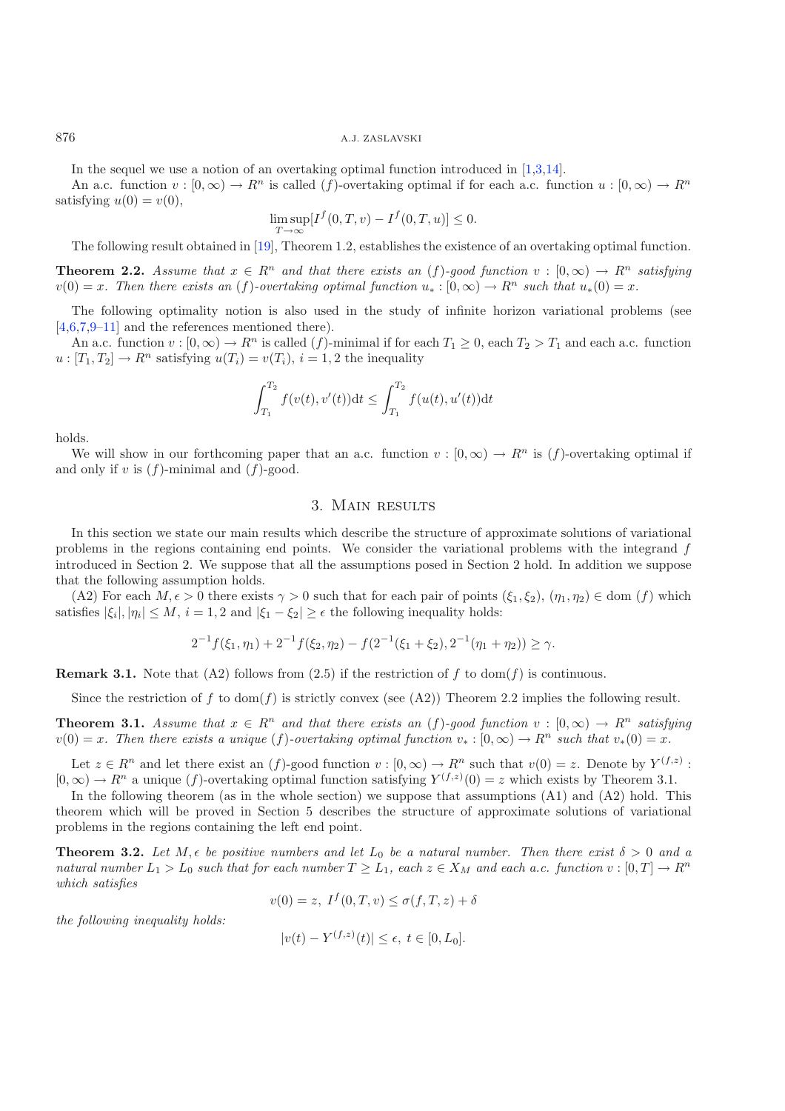In the sequel we use a notion of an overtaking optimal function introduced in [\[1](#page-22-1)[,3](#page-22-2)[,14\]](#page-22-4).

An a.c. function  $v : [0, \infty) \to \mathbb{R}^n$  is called (f)-overtaking optimal if for each a.c. function  $u : [0, \infty) \to \mathbb{R}^n$ satisfying  $u(0) = v(0)$ ,

$$
\limsup_{T \to \infty} [I^f(0,T,v) - I^f(0,T,u)] \le 0.
$$

The following result obtained in [\[19](#page-22-9)], Theorem 1.2, establishes the existence of an overtaking optimal function.

**Theorem 2.2.** *Assume that*  $x \in \mathbb{R}^n$  *and that there exists an* (f)*-good function*  $v : [0, \infty) \to \mathbb{R}^n$  *satisfying*  $v(0) = x$ . Then there exists an  $(f)$ -overtaking optimal function  $u_* : [0, \infty) \to \mathbb{R}^n$  such that  $u_*(0) = x$ .

The following optimality notion is also used in the study of infinite horizon variational problems (see [\[4](#page-22-12)[,6](#page-22-13)[,7](#page-22-6)[,9](#page-22-14)[–11](#page-22-15)] and the references mentioned there).

An a.c. function  $v : [0, \infty) \to R^n$  is called  $(f)$ -minimal if for each  $T_1 \ge 0$ , each  $T_2 > T_1$  and each a.c. function  $u: [T_1, T_2] \to R^n$  satisfying  $u(T_i) = v(T_i)$ ,  $i = 1, 2$  the inequality

$$
\int_{T_1}^{T_2} f(v(t), v'(t)) dt \le \int_{T_1}^{T_2} f(u(t), u'(t)) dt
$$

holds.

We will show in our forthcoming paper that an a.c. function  $v : [0, \infty) \to R^n$  is  $(f)$ -overtaking optimal if and only if v is  $(f)$ -minimal and  $(f)$ -good.

#### 3. Main results

In this section we state our main results which describe the structure of approximate solutions of variational problems in the regions containing end points. We consider the variational problems with the integrand f introduced in Section 2. We suppose that all the assumptions posed in Section 2 hold. In addition we suppose that the following assumption holds.

(A2) For each  $M, \epsilon > 0$  there exists  $\gamma > 0$  such that for each pair of points  $(\xi_1, \xi_2), (\eta_1, \eta_2) \in \text{dom}(f)$  which is first  $|\xi_1| \leq M, i = 1, 2$  and  $|\xi_1 - \xi_2| > \epsilon$  the following inequality holds: satisfies  $|\xi_i|, |\eta_i| \leq M$ ,  $i = 1, 2$  and  $|\xi_1 - \xi_2| \geq \epsilon$  the following inequality holds:

$$
2^{-1}f(\xi_1,\eta_1)+2^{-1}f(\xi_2,\eta_2)-f(2^{-1}(\xi_1+\xi_2),2^{-1}(\eta_1+\eta_2))\geq \gamma.
$$

**Remark 3.1.** Note that  $(A2)$  follows from  $(2.5)$  if the restriction of f to dom(f) is continuous.

Since the restriction of f to dom(f) is strictly convex (see (A2)) Theorem 2.2 implies the following result.

**Theorem 3.1.** *Assume that*  $x \in R^n$  *and that there exists an* (f)*-good function*  $v : [0, \infty) \to R^n$  *satisfying*  $v(0) = x$ . Then there exists a unique (f)-overtaking optimal function  $v_* : [0, \infty) \to R^n$  such that  $v_*(0) = x$ .

Let  $z \in R^n$  and let there exist an  $(f)$ -good function  $v : [0, \infty) \to R^n$  such that  $v(0) = z$ . Denote by  $Y^{(f,z)}$ :  $[0,\infty) \to \mathbb{R}^n$  a unique (f)-overtaking optimal function satisfying  $Y^{(f,z)}(0) = z$  which exists by Theorem 3.1.

In the following theorem (as in the whole section) we suppose that assumptions  $(A1)$  and  $(A2)$  hold. This theorem which will be proved in Section 5 describes the structure of approximate solutions of variational problems in the regions containing the left end point.

**Theorem 3.2.** Let  $M, \epsilon$  be positive numbers and let  $L_0$  be a natural number. Then there exist  $\delta > 0$  and a<br>patural number  $L_1 > L_2$  such that for each number  $T > L_1$  seach  $z \in X_M$  and each  $a, c$  function  $v : [0, T] \to \math$ *natural number*  $L_1 > L_0$  *such that for each number*  $T \geq L_1$ *, each*  $z \in X_M$  *and each a.c. function*  $v : [0, T] \to R^n$ *which satisfies*

$$
v(0) = z, I^f(0,T,v) \le \sigma(f,T,z) + \delta
$$

*the following inequality holds:*

$$
|v(t) - Y^{(f,z)}(t)| \le \epsilon, \ t \in [0, L_0].
$$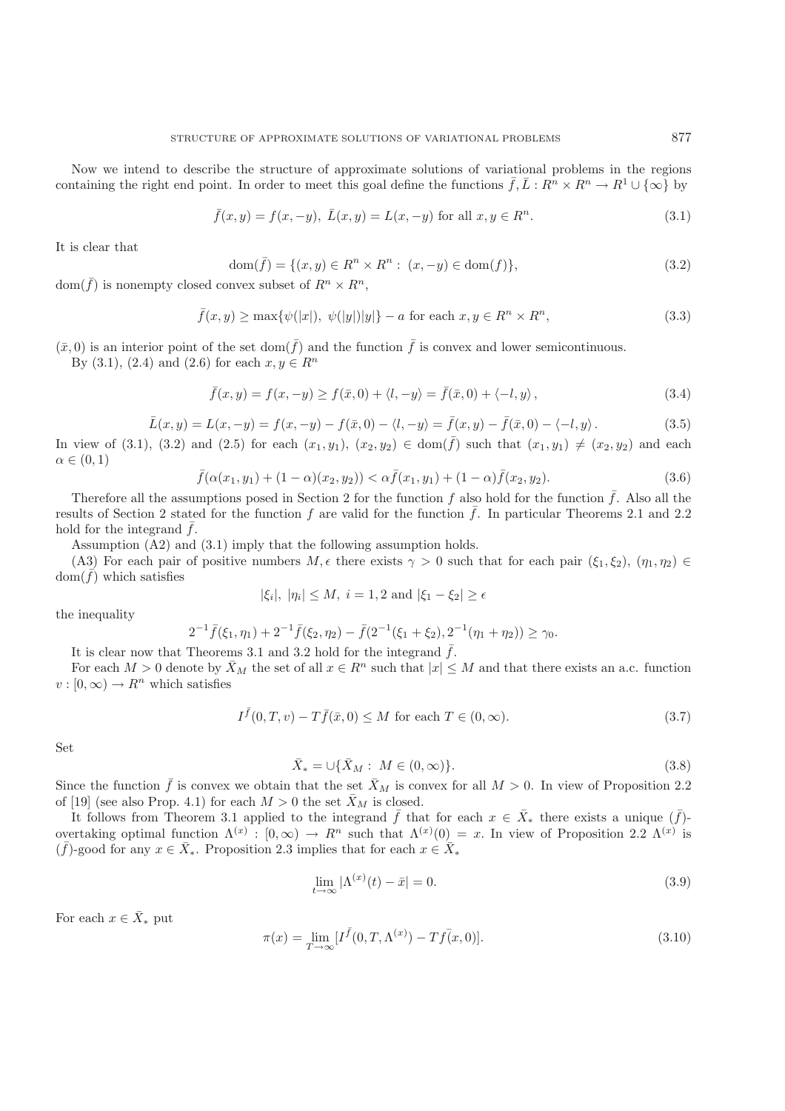Now we intend to describe the structure of approximate solutions of variational problems in the regions containing the right end point. In order to meet this goal define the functions  $\bar{f},\bar{L}:R^n\times R^n\to R^1\cup\{\infty\}$  by

$$
\bar{f}(x,y) = f(x,-y), \ \bar{L}(x,y) = L(x,-y) \text{ for all } x,y \in \mathbb{R}^n. \tag{3.1}
$$

It is clear that

$$
\text{dom}(\bar{f}) = \{ (x, y) \in R^n \times R^n : (x, -y) \in \text{dom}(f) \},\tag{3.2}
$$

 $dom(\bar{f})$  is nonempty closed convex subset of  $R^n \times R^n$ ,

$$
\bar{f}(x,y) \ge \max\{\psi(|x|), \ \psi(|y|)|y|\} - a \text{ for each } x, y \in R^n \times R^n,
$$
\n
$$
(3.3)
$$

 $(\bar{x}, 0)$  is an interior point of the set dom $(\bar{f})$  and the function  $\bar{f}$  is convex and lower semicontinuous.

By (3.1), (2.4) and (2.6) for each  $x, y \in R^n$ 

$$
\bar{f}(x,y) = f(x,-y) \ge f(\bar{x},0) + \langle l,-y \rangle = \bar{f}(\bar{x},0) + \langle -l,y \rangle, \tag{3.4}
$$

$$
\bar{L}(x, y) = L(x, -y) = f(x, -y) - f(\bar{x}, 0) - \langle l, -y \rangle = \bar{f}(x, y) - \bar{f}(\bar{x}, 0) - \langle -l, y \rangle.
$$
\n(3.5)

In view of (3.1), (3.2) and (2.5) for each  $(x_1, y_1)$ ,  $(x_2, y_2) \in \text{dom}(\bar{f})$  such that  $(x_1, y_1) \neq (x_2, y_2)$  and each  $\alpha \in (0, 1)$  $\alpha \in (0,1)$ 

$$
\bar{f}(\alpha(x_1, y_1) + (1 - \alpha)(x_2, y_2)) < \alpha \bar{f}(x_1, y_1) + (1 - \alpha)\bar{f}(x_2, y_2). \tag{3.6}
$$

Therefore all the assumptions posed in Section 2 for the function f also hold for the function  $\bar{f}$ . Also all the ults of Section 2 stated for the function f are valid for the function  $\bar{f}$ . In particular Theorems 2 results of Section 2 stated for the function f are valid for the function  $\bar{f}$ . In particular Theorems 2.1 and 2.2 hold for the integrand  $\bar{f}$ .

Assumption (A2) and (3.1) imply that the following assumption holds.

(A3) For each pair of positive numbers  $M$ ,  $\epsilon$  there exists  $\gamma > 0$  such that for each pair  $(\xi_1, \xi_2)$ ,  $(\eta_1, \eta_2) \in$ <br> $m(\bar{f})$  which satisfies  $dom(\bar{f})$  which satisfies

$$
|\xi_i|, |\eta_i| \le M, i = 1, 2 \text{ and } |\xi_1 - \xi_2| \ge \epsilon
$$

the inequality

$$
2^{-1}\bar{f}(\xi_1,\eta_1) + 2^{-1}\bar{f}(\xi_2,\eta_2) - \bar{f}(2^{-1}(\xi_1 + \xi_2), 2^{-1}(\eta_1 + \eta_2)) \ge \gamma_0.
$$

It is clear now that Theorems 3.1 and 3.2 hold for the integrand  $\bar{f}$ .

For each  $M > 0$  denote by  $\bar{X}_M$  the set of all  $x \in R^n$  such that  $|x| \leq M$  and that there exists an a.c. function  $v : [0, \infty) \to R^n$  which satisfies

$$
I^{\bar{f}}(0,T,v) - T\bar{f}(\bar{x},0) \le M \text{ for each } T \in (0,\infty). \tag{3.7}
$$

Set

$$
\bar{X}_* = \cup \{\bar{X}_M : M \in (0, \infty)\}.
$$
\n(3.8)

Since the function  $\bar{f}$  is convex we obtain that the set  $\bar{X}_M$  is convex for all  $M > 0$ . In view of Proposition 2.2 of [19] (see also Prop. 4.1) for each  $M > 0$  the set  $\bar{X}_M$  is closed of [19] (see also Prop. 4.1) for each  $M > 0$  the set  $\bar{X}_M$  is closed.

It follows from Theorem 3.1 applied to the integrand  $\bar{f}$  that for each  $x \in \bar{X}_*$  there exists a unique  $(\bar{f})$ -<br>particle optimal function  $\Lambda(x)$  is  $[0, \infty) \to B^n$  such that  $\Lambda(x)(0) = x$ . In view of Proposition 2.2  $\Lambda(x$ overtaking optimal function  $\Lambda^{(x)}$ :  $[0,\infty) \to R^n$  such that  $\Lambda^{(x)}(0) = x$ . In view of Proposition 2.2  $\Lambda^{(x)}$  is  $(\bar{f})$ -good for any  $x \in \bar{X}$ . Proposition 2.3 implies that for each  $x \in \bar{X}$ .  $(\bar{f})$ -good for any  $x \in \bar{X}_*$ . Proposition 2.3 implies that for each  $x \in \bar{X}_*$ 

$$
\lim_{t \to \infty} |\Lambda^{(x)}(t) - \bar{x}| = 0. \tag{3.9}
$$

For each  $x \in \overline{X}_*$  put

$$
\pi(x) = \lim_{T \to \infty} [I^{\bar{f}}(0, T, \Lambda^{(x)}) - Tf(x, 0)].
$$
\n(3.10)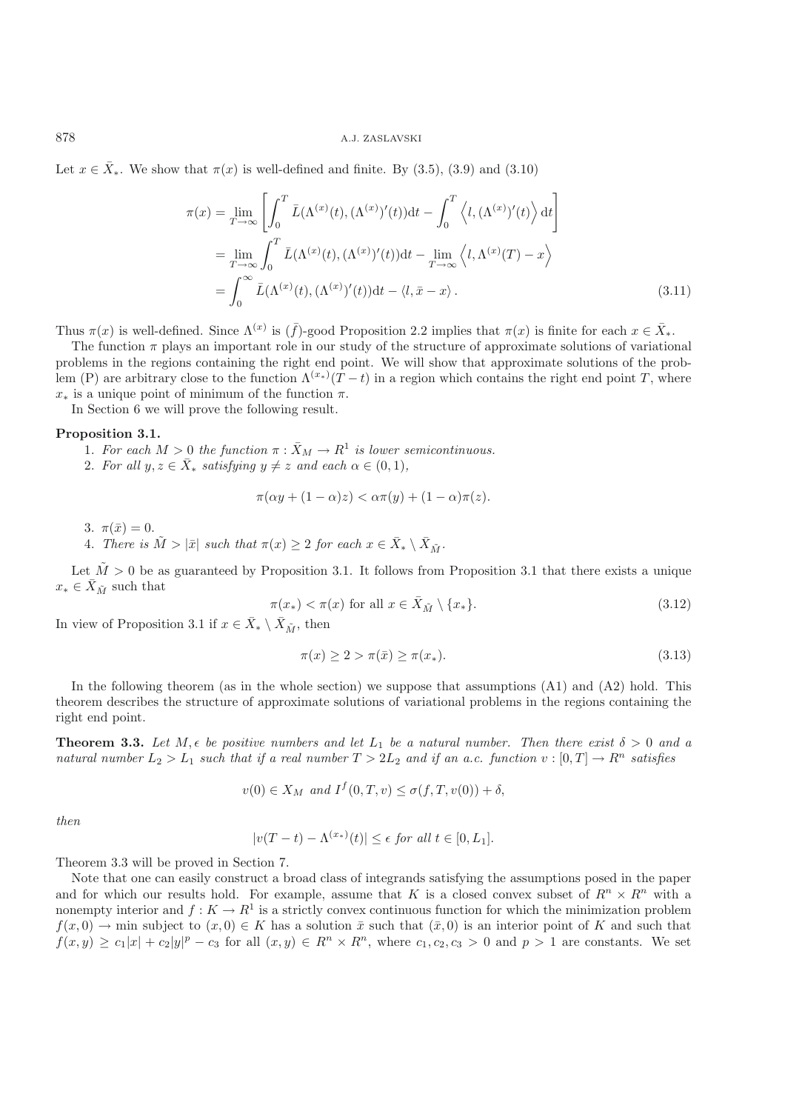Let  $x \in \overline{X}_*$ . We show that  $\pi(x)$  is well-defined and finite. By (3.5), (3.9) and (3.10)

$$
\pi(x) = \lim_{T \to \infty} \left[ \int_0^T \bar{L}(\Lambda^{(x)}(t), (\Lambda^{(x)})'(t)) dt - \int_0^T \left\langle l, (\Lambda^{(x)})'(t) \right\rangle dt \right]
$$
  
\n
$$
= \lim_{T \to \infty} \int_0^T \bar{L}(\Lambda^{(x)}(t), (\Lambda^{(x)})'(t)) dt - \lim_{T \to \infty} \left\langle l, \Lambda^{(x)}(T) - x \right\rangle
$$
  
\n
$$
= \int_0^\infty \bar{L}(\Lambda^{(x)}(t), (\Lambda^{(x)})'(t)) dt - \langle l, \bar{x} - x \rangle.
$$
 (3.11)

Thus  $\pi(x)$  is well-defined. Since  $\Lambda^{(x)}$  is  $(\bar{f})$ -good Proposition 2.2 implies that  $\pi(x)$  is finite for each  $x \in \bar{X}_*$ .

The function  $\pi$  plays an important role in our study of the structure of approximate solutions of variational problems in the regions containing the right end point. We will show that approximate solutions of the problem (P) are arbitrary close to the function  $\Lambda^{(x_*)}(T-t)$  in a region which contains the right end point T, where  $x$  is a unique point of minimum of the function  $\pi$  $x_*$  is a unique point of minimum of the function  $\pi$ .

In Section 6 we will prove the following result.

#### **Proposition 3.1.**

- 1. For each  $M > 0$  the function  $\pi : \bar{X}_M \to R^1$  is lower semicontinuous.
- 2. For all  $y, z \in \overline{X}_*$  *satisfying*  $y \neq z$  *and each*  $\alpha \in (0, 1)$ *,*

$$
\pi(\alpha y + (1 - \alpha)z) < \alpha \pi(y) + (1 - \alpha)\pi(z).
$$

3.  $\pi(\bar{x})=0$ .

4. *There is*  $\tilde{M} > |\bar{x}|$  *such that*  $\pi(x) \geq 2$  *for each*  $x \in \bar{X}_* \setminus \bar{X}_{\tilde{M}}$ *.* 

Let  $\tilde{M} > 0$  be as guaranteed by Proposition 3.1. It follows from Proposition 3.1 that there exists a unique  $x_* \in \bar{X}_{\tilde{M}}$  such that

$$
\pi(x_*) < \pi(x) \text{ for all } x \in \bar{X}_{\tilde{M}} \setminus \{x_*\}. \tag{3.12}
$$

In view of Proposition 3.1 if  $x \in \bar{X}_* \setminus \bar{X}_{\tilde{M}}$ , then

$$
\pi(x) \ge 2 > \pi(\bar{x}) \ge \pi(x_*). \tag{3.13}
$$

In the following theorem (as in the whole section) we suppose that assumptions (A1) and (A2) hold. This theorem describes the structure of approximate solutions of variational problems in the regions containing the right end point.

**Theorem 3.3.** Let  $M, \epsilon$  be positive numbers and let  $L_1$  be a natural number. Then there exist  $\delta > 0$  and a<br>natural number  $L_2 > L_3$  such that if a real number  $T > 2L_2$  and if an a.c. function  $v : [0, T] \to \mathbb{R}^n$  sat *natural number*  $L_2 > L_1$  *such that if a real number*  $T > 2L_2$  *and if an a.c. function*  $v : [0, T] \rightarrow R^n$  *satisfies* 

$$
v(0) \in X_M \text{ and } I^f(0,T,v) \le \sigma(f,T,v(0)) + \delta,
$$

*then*

$$
|v(T-t) - \Lambda^{(x_*)}(t)| \le \epsilon \text{ for all } t \in [0, L_1].
$$

Theorem 3.3 will be proved in Section 7.

Note that one can easily construct a broad class of integrands satisfying the assumptions posed in the paper and for which our results hold. For example, assume that K is a closed convex subset of  $R^n \times R^n$  with a nonempty interior and  $f: K \to R^1$  is a strictly convex continuous function for which the minimization problem  $f(x, 0) \to \min$  subject to  $(x, 0) \in K$  has a solution  $\bar{x}$  such that  $(\bar{x}, 0)$  is an interior point of K and such that  $f(x,y) \ge c_1|x| + c_2|y|^p - c_3$  for all  $(x,y) \in R^n \times R^n$ , where  $c_1, c_2, c_3 > 0$  and  $p > 1$  are constants. We set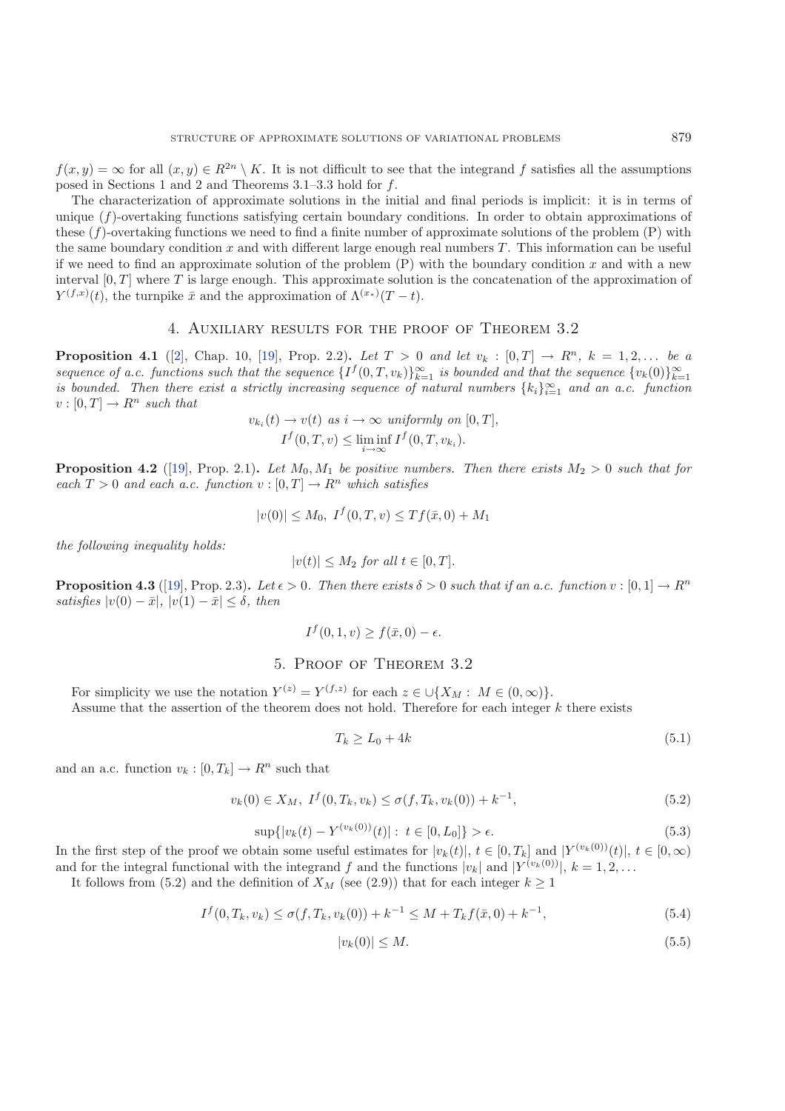$f(x, y) = \infty$  for all  $(x, y) \in R^{2n} \setminus K$ . It is not difficult to see that the integrand f satisfies all the assumptions posed in Sections 1 and 2 and Theorems 3.1–3.3 hold for f.

The characterization of approximate solutions in the initial and final periods is implicit: it is in terms of unique (f)-overtaking functions satisfying certain boundary conditions. In order to obtain approximations of these  $(f)$ -overtaking functions we need to find a finite number of approximate solutions of the problem  $(P)$  with the same boundary condition x and with different large enough real numbers  $T$ . This information can be useful if we need to find an approximate solution of the problem  $(P)$  with the boundary condition x and with a new interval  $[0, T]$  where T is large enough. This approximate solution is the concatenation of the approximation of  $Y^{(f,x)}(t)$ , the turnpike  $\bar{x}$  and the approximation of  $\Lambda^{(x_*)}(T-t)$ .

### 4. Auxiliary results for the proof of Theorem 3.2

**Proposition 4.1** ([\[2\]](#page-22-16), Chap. 10, [\[19](#page-22-9)], Prop. 2.2). Let  $T > 0$  and let  $v_k : [0, T] \to R^n$ ,  $k = 1, 2, ...$  be a *sequence* of a.c. functions such that the sequence  $\{I^f(0,T,v_k)\}_{k=1}^{\infty}$  *is bounded and that the sequence*  $\{v_k(0)\}_{k=1}^{\infty}$ <br>*is bounded. Then there erist a strictly increasing sequence of natural numbers \{k \cdot \}^ is bounded. Then there exist a strictly increasing sequence of natural numbers*  $\{k_i\}_{i=1}^{\infty}$  and an a.c. function  $v: [0, T] \to \mathbb{R}^n$  such that  $v : [0, T] \to R^n$  *such that* 

$$
v_{k_i}(t) \to v(t) \text{ as } i \to \infty \text{ uniformly on } [0, T],
$$
  

$$
I^f(0, T, v) \le \liminf_{i \to \infty} I^f(0, T, v_{k_i}).
$$

**Proposition 4.2** ([\[19](#page-22-9)], Prop. 2.1). Let  $M_0, M_1$  be positive numbers. Then there exists  $M_2 > 0$  such that for *each*  $T > 0$  *and each a.c. function*  $v : [0, T] \rightarrow R^n$  *which satisfies* 

$$
|v(0)| \le M_0, \ I^f(0,T,v) \le Tf(\bar{x},0) + M_1
$$

*the following inequality holds:*

$$
|v(t)| \le M_2 \text{ for all } t \in [0, T].
$$

**Proposition 4.3** ([\[19\]](#page-22-9), Prop. 2.3). Let  $\epsilon > 0$ . Then there exists  $\delta > 0$  such that if an a.c. function  $v : [0, 1] \to R^n$  $satisfies$   $|v(0) - \bar{x}|$ ,  $|v(1) - \bar{x}| \leq \delta$ , then

$$
I^f(0,1,v) \ge f(\bar{x},0) - \epsilon.
$$

## 5. Proof of Theorem 3.2

For simplicity we use the notation  $Y^{(z)} = Y^{(f,z)}$  for each  $z \in \bigcup \{X_M : M \in (0,\infty)\}.$ Assume that the assertion of the theorem does not hold. Therefore for each integer  $k$  there exists

$$
T_k \ge L_0 + 4k \tag{5.1}
$$

and an a.c. function  $v_k : [0, T_k] \to R^n$  such that

$$
v_k(0) \in X_M, \ I^f(0, T_k, v_k) \le \sigma(f, T_k, v_k(0)) + k^{-1}, \tag{5.2}
$$

$$
\sup\{|v_k(t) - Y^{(v_k(0))}(t)| : t \in [0, L_0]\} > \epsilon. \tag{5.3}
$$

In the first step of the proof we obtain some useful estimates for  $|v_k(t)|$ ,  $t \in [0, T_k]$  and  $|Y^{(v_k(0))}(t)|$ ,  $t \in [0, \infty)$ and for the integral functional with the integrand f and the functions  $|v_k|$  and  $|Y^{(v_k(0))}|$ ,  $k = 1, 2, \ldots$ 

It follows from (5.2) and the definition of  $X_M$  (see (2.9)) that for each integer  $k \geq 1$ 

$$
I^f(0, T_k, v_k) \le \sigma(f, T_k, v_k(0)) + k^{-1} \le M + T_k f(\bar{x}, 0) + k^{-1},
$$
\n(5.4)

$$
|v_k(0)| \le M. \tag{5.5}
$$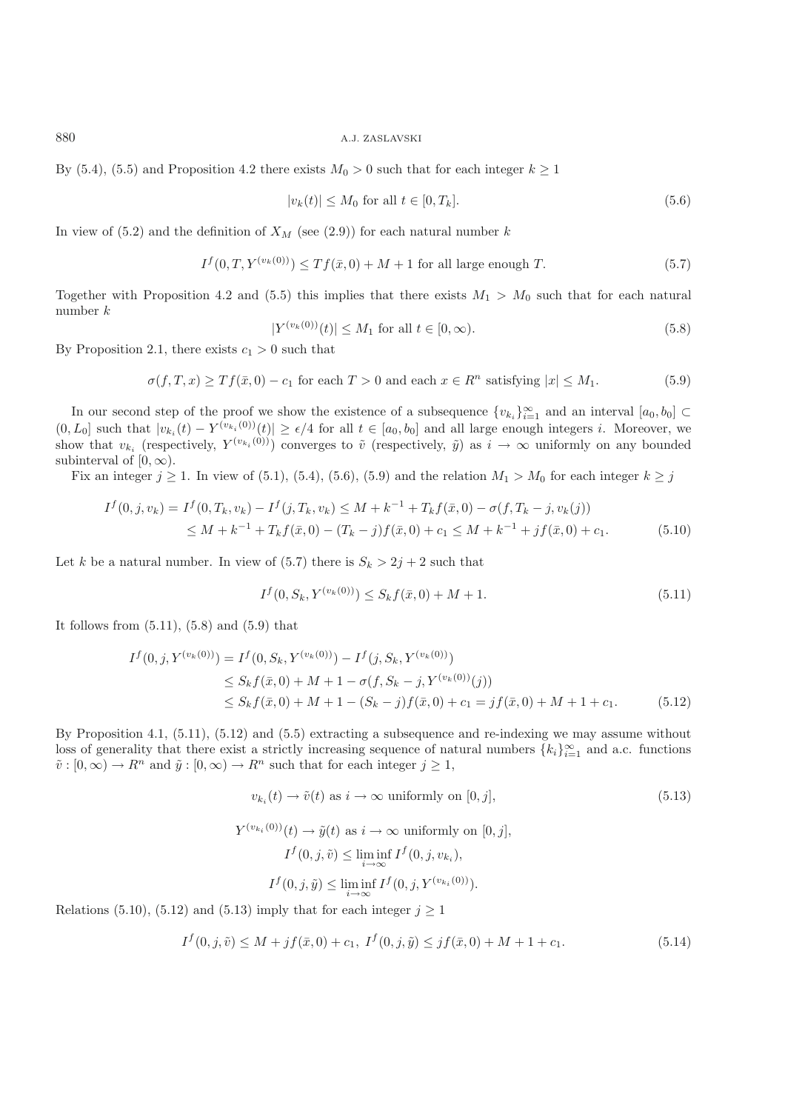By (5.4), (5.5) and Proposition 4.2 there exists  $M_0 > 0$  such that for each integer  $k \ge 1$ 

$$
|v_k(t)| \le M_0 \text{ for all } t \in [0, T_k]. \tag{5.6}
$$

In view of  $(5.2)$  and the definition of  $X_M$  (see  $(2.9)$ ) for each natural number k

$$
I^{f}(0,T,Y^{(v_k(0))}) \le Tf(\bar{x},0) + M + 1 \text{ for all large enough } T.
$$
 (5.7)

Together with Proposition 4.2 and (5.5) this implies that there exists  $M_1 > M_0$  such that for each natural number k

$$
|Y^{(v_k(0))}(t)| \le M_1 \text{ for all } t \in [0, \infty). \tag{5.8}
$$

By Proposition 2.1, there exists  $c_1 > 0$  such that

$$
\sigma(f, T, x) \ge Tf(\bar{x}, 0) - c_1 \text{ for each } T > 0 \text{ and each } x \in R^n \text{ satisfying } |x| \le M_1.
$$
 (5.9)

In our second step of the proof we show the existence of a subsequence  $\{v_{k_i}\}_{i=1}^{\infty}$  and an interval  $[a_0, b_0]$  ⊂  $(0, L_0]$  such that  $|v_{k_i}(t) - Y^{(v_{k_i}(0))}(t)| \ge \epsilon/4$  for all  $t \in [a_0, b_0]$  and all large enough integers i. Moreover, we<br>show that  $v_{k_i}$  (respectively  $Y^{(v_{k_i}(0))}$ ) converges to  $\tilde{v}_i$  (respectively  $\tilde{v}_i$ ) as  $i \$ show that  $v_{k_i}$  (respectively,  $Y^{(v_{k_i}(0))}$ ) converges to  $\tilde{v}$  (respectively,  $\tilde{y}$ ) as  $i \to \infty$  uniformly on any bounded subinterval of  $[0, \infty)$ subinterval of  $[0, \infty)$ .

Fix an integer  $j \ge 1$ . In view of (5.1), (5.4), (5.6), (5.9) and the relation  $M_1 > M_0$  for each integer  $k \ge j$ 

$$
I^f(0, j, v_k) = I^f(0, T_k, v_k) - I^f(j, T_k, v_k) \le M + k^{-1} + T_k f(\bar{x}, 0) - \sigma(f, T_k - j, v_k(j))
$$
  
 
$$
\le M + k^{-1} + T_k f(\bar{x}, 0) - (T_k - j) f(\bar{x}, 0) + c_1 \le M + k^{-1} + j f(\bar{x}, 0) + c_1.
$$
 (5.10)

Let k be a natural number. In view of  $(5.7)$  there is  $S_k > 2j + 2$  such that

$$
I^f(0, S_k, Y^{(v_k(0))}) \le S_k f(\bar{x}, 0) + M + 1.
$$
\n(5.11)

It follows from  $(5.11)$ ,  $(5.8)$  and  $(5.9)$  that

$$
I^f(0,j,Y^{(v_k(0))}) = I^f(0,S_k,Y^{(v_k(0))}) - I^f(j,S_k,Y^{(v_k(0))})
$$
  
\n
$$
\leq S_k f(\bar{x},0) + M + 1 - \sigma(f,S_k - j,Y^{(v_k(0))}(j))
$$
  
\n
$$
\leq S_k f(\bar{x},0) + M + 1 - (S_k - j)f(\bar{x},0) + c_1 = jf(\bar{x},0) + M + 1 + c_1.
$$
\n(5.12)

By Proposition 4.1, (5.11), (5.12) and (5.5) extracting a subsequence and re-indexing we may assume without loss of generality that there exist a strictly increasing sequence of natural numbers  $\{k_i\}_{i=1}^{\infty}$  and a.c. functions  $\tilde{v}: [0, \infty) \to R^n$  and  $\tilde{u}: [0, \infty) \to R^n$  such that for each integer  $i > 1$  $\tilde{v}: [0, \infty) \to R^n$  and  $\tilde{y}: [0, \infty) \to R^n$  such that for each integer  $j \geq 1$ ,

$$
v_{k_i}(t) \to \tilde{v}(t) \text{ as } i \to \infty \text{ uniformly on } [0, j], \tag{5.13}
$$

$$
Y^{(v_{k_i}(0))}(t) \to \tilde{y}(t) \text{ as } i \to \infty \text{ uniformly on } [0, j],
$$
  

$$
I^f(0, j, \tilde{v}) \le \liminf_{i \to \infty} I^f(0, j, v_{k_i}),
$$
  

$$
I^f(0, j, \tilde{y}) \le \liminf_{i \to \infty} I^f(0, j, Y^{(v_{k_i}(0))}).
$$

Relations (5.10), (5.12) and (5.13) imply that for each integer  $j \ge 1$ 

$$
I^f(0, j, \tilde{v}) \le M + jf(\bar{x}, 0) + c_1, \ I^f(0, j, \tilde{y}) \le jf(\bar{x}, 0) + M + 1 + c_1.
$$
\n
$$
(5.14)
$$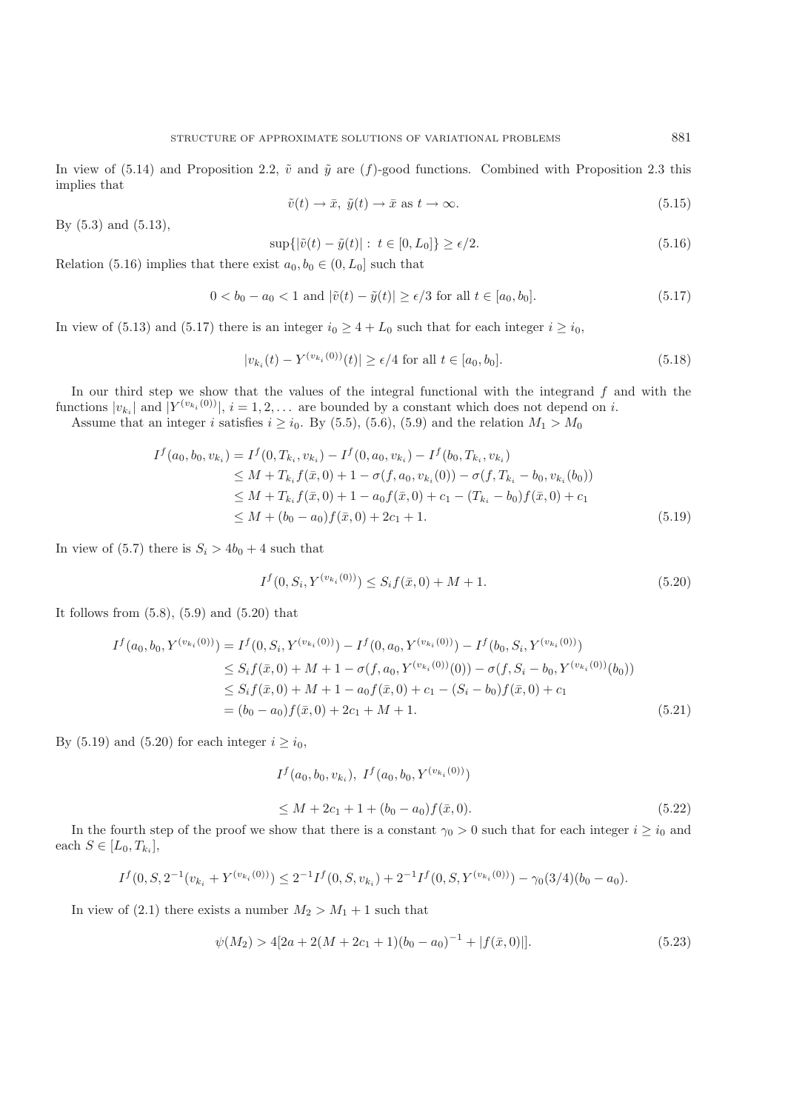In view of (5.14) and Proposition 2.2,  $\tilde{v}$  and  $\tilde{y}$  are (f)-good functions. Combined with Proposition 2.3 this implies that

$$
\tilde{v}(t) \to \bar{x}, \ \tilde{y}(t) \to \bar{x} \text{ as } t \to \infty. \tag{5.15}
$$

By (5.3) and (5.13),

$$
\sup\{|\tilde{v}(t) - \tilde{y}(t)| : t \in [0, L_0]\} \ge \epsilon/2. \tag{5.16}
$$

Relation (5.16) implies that there exist  $a_0, b_0 \in (0, L_0]$  such that

$$
0 < b_0 - a_0 < 1 \text{ and } |\tilde{v}(t) - \tilde{y}(t)| \ge \epsilon/3 \text{ for all } t \in [a_0, b_0]. \tag{5.17}
$$

In view of (5.13) and (5.17) there is an integer  $i_0 \geq 4 + L_0$  such that for each integer  $i \geq i_0$ ,

$$
|v_{k_i}(t) - Y^{(v_{k_i}(0))}(t)| \ge \epsilon/4 \text{ for all } t \in [a_0, b_0].
$$
 (5.18)

In our third step we show that the values of the integral functional with the integrand  $f$  and with the functions  $|v_{k_i}|$  and  $|Y^{(v_{k_i}(0))}|$ ,  $i = 1, 2, \ldots$  are bounded by a constant which does not depend on i.

Assume that an integer i satisfies  $i \ge i_0$ . By (5.5), (5.6), (5.9) and the relation  $M_1 > M_0$ 

$$
I^f(a_0, b_0, v_{k_i}) = I^f(0, T_{k_i}, v_{k_i}) - I^f(0, a_0, v_{k_i}) - I^f(b_0, T_{k_i}, v_{k_i})
$$
  
\n
$$
\leq M + T_{k_i} f(\bar{x}, 0) + 1 - \sigma(f, a_0, v_{k_i}(0)) - \sigma(f, T_{k_i} - b_0, v_{k_i}(b_0))
$$
  
\n
$$
\leq M + T_{k_i} f(\bar{x}, 0) + 1 - a_0 f(\bar{x}, 0) + c_1 - (T_{k_i} - b_0) f(\bar{x}, 0) + c_1
$$
  
\n
$$
\leq M + (b_0 - a_0) f(\bar{x}, 0) + 2c_1 + 1.
$$
\n(5.19)

In view of (5.7) there is  $S_i > 4b_0 + 4$  such that

$$
I^{f}(0, S_i, Y^{(v_{k_i}(0))}) \leq S_i f(\bar{x}, 0) + M + 1.
$$
\n(5.20)

It follows from  $(5.8)$ ,  $(5.9)$  and  $(5.20)$  that

$$
I^f(a_0, b_0, Y^{(v_{k_i}(0))}) = I^f(0, S_i, Y^{(v_{k_i}(0))}) - I^f(0, a_0, Y^{(v_{k_i}(0))}) - I^f(b_0, S_i, Y^{(v_{k_i}(0))})
$$
  
\n
$$
\leq S_i f(\bar{x}, 0) + M + 1 - \sigma(f, a_0, Y^{(v_{k_i}(0))}(0)) - \sigma(f, S_i - b_0, Y^{(v_{k_i}(0))}(b_0))
$$
  
\n
$$
\leq S_i f(\bar{x}, 0) + M + 1 - a_0 f(\bar{x}, 0) + c_1 - (S_i - b_0) f(\bar{x}, 0) + c_1
$$
  
\n
$$
= (b_0 - a_0) f(\bar{x}, 0) + 2c_1 + M + 1.
$$
\n(5.21)

By (5.19) and (5.20) for each integer  $i \ge i_0$ ,

$$
I^f(a_0, b_0, v_{k_i}), I^f(a_0, b_0, Y^{(v_{k_i}(0))})
$$

$$
\leq M + 2c_1 + 1 + (b_0 - a_0)f(\bar{x}, 0). \tag{5.22}
$$

In the fourth step of the proof we show that there is a constant  $\gamma_0 > 0$  such that for each integer  $i \ge i_0$  and the  $S \in [I_{\infty} T_i]$ each  $S \in [L_0, T_{k_i}],$ 

$$
I^f(0, S, 2^{-1}(v_{k_i} + Y^{(v_{k_i}(0))}) \le 2^{-1}I^f(0, S, v_{k_i}) + 2^{-1}I^f(0, S, Y^{(v_{k_i}(0))}) - \gamma_0(3/4)(b_0 - a_0).
$$

In view of (2.1) there exists a number  $M_2 > M_1 + 1$  such that

$$
\psi(M_2) > 4[2a + 2(M + 2c_1 + 1)(b_0 - a_0)^{-1} + |f(\bar{x}, 0)|].
$$
\n(5.23)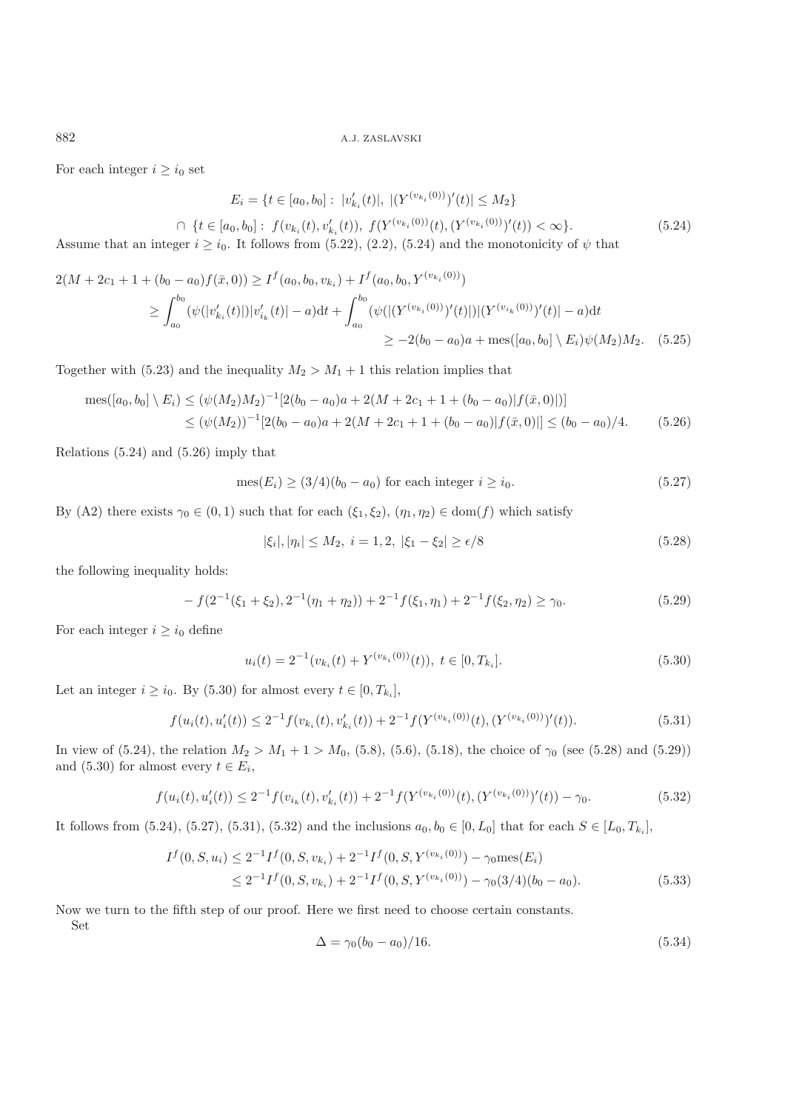For each integer  $i \geq i_0$  set

$$
E_i = \{t \in [a_0, b_0] : |v'_{k_i}(t)|, |(Y^{(v_{k_i}(0))})'(t)| \le M_2\}
$$
  

$$
\cap \{t \in [a_0, b_0] : f(v_{k_i}(t), v'_{k_i}(t)), f(Y^{(v_{k_i}(0))}(t), (Y^{(v_{k_i}(0))})'(t)) < \infty\}.
$$
  

$$
(5.24)
$$

Assume that an integer  $i \ge i_0$ . It follows from (5.22), (2.2), (5.24) and the monotonicity of  $\psi$  that

$$
2(M + 2c_1 + 1 + (b_0 - a_0)f(\bar{x}, 0)) \ge I^f(a_0, b_0, v_{k_i}) + I^f(a_0, b_0, Y^{(v_{k_i}(0))})
$$
  
\n
$$
\ge \int_{a_0}^{b_0} (\psi(|v'_{k_i}(t)|)|v'_{k_i}(t)| - a)dt + \int_{a_0}^{b_0} (\psi(|(Y^{(v_{k_i}(0))})'(t)|)|(Y^{(v_{k_i}(0))})'(t)| - a)dt
$$
  
\n
$$
\ge -2(b_0 - a_0)a + \text{mes}([a_0, b_0] \setminus E_i)\psi(M_2)M_2.
$$
 (5.25)

Together with (5.23) and the inequality  $M_2 > M_1 + 1$  this relation implies that

$$
\operatorname{mes}([a_0, b_0] \setminus E_i) \le (\psi(M_2)M_2)^{-1} [2(b_0 - a_0)a + 2(M + 2c_1 + 1 + (b_0 - a_0)|f(\bar{x}, 0)|)]
$$
  
 
$$
\le (\psi(M_2))^{-1} [2(b_0 - a_0)a + 2(M + 2c_1 + 1 + (b_0 - a_0)|f(\bar{x}, 0)|] \le (b_0 - a_0)/4.
$$
 (5.26)

Relations (5.24) and (5.26) imply that

$$
\operatorname{mes}(E_i) \ge (3/4)(b_0 - a_0) \text{ for each integer } i \ge i_0. \tag{5.27}
$$

By (A2) there exists  $\gamma_0 \in (0,1)$  such that for each  $(\xi_1, \xi_2), (\eta_1, \eta_2) \in \text{dom}(f)$  which satisfy

$$
|\xi_i|, |\eta_i| \le M_2, \ i = 1, 2, \ |\xi_1 - \xi_2| \ge \epsilon/8 \tag{5.28}
$$

the following inequality holds:

$$
-f(2^{-1}(\xi_1+\xi_2),2^{-1}(\eta_1+\eta_2))+2^{-1}f(\xi_1,\eta_1)+2^{-1}f(\xi_2,\eta_2)\geq \gamma_0.
$$
\n(5.29)

For each integer  $i \geq i_0$  define

Set

$$
u_i(t) = 2^{-1}(v_{k_i}(t) + Y^{(v_{k_i}(0))}(t)), \ t \in [0, T_{k_i}].
$$
\n(5.30)

Let an integer  $i \ge i_0$ . By (5.30) for almost every  $t \in [0, T_{k_i}]$ ,

$$
f(u_i(t), u'_i(t)) \le 2^{-1} f(v_{k_i}(t), v'_{k_i}(t)) + 2^{-1} f(Y^{(v_{k_i}(0))}(t), (Y^{(v_{k_i}(0))})'(t)).
$$
\n
$$
(5.31)
$$

In view of (5.24), the relation  $M_2 > M_1 + 1 > M_0$ , (5.8), (5.6), (5.18), the choice of  $\gamma_0$  (see (5.28) and (5.29)) and (5.30) for almost every  $t \in E_i$ ,

$$
f(u_i(t), u'_i(t)) \le 2^{-1} f(v_{i_k}(t), v'_{k_i}(t)) + 2^{-1} f(Y^{(v_{k_i}(0))}(t), (Y^{(v_{k_i}(0))})'(t)) - \gamma_0.
$$
\n
$$
(5.32)
$$

It follows from (5.24), (5.27), (5.31), (5.32) and the inclusions  $a_0, b_0 \in [0, L_0]$  that for each  $S ∈ [L_0, T_{k_i}]$ ,

$$
I^f(0, S, u_i) \le 2^{-1} I^f(0, S, v_{k_i}) + 2^{-1} I^f(0, S, Y^{(v_{k_i}(0))}) - \gamma_0 \operatorname{mes}(E_i)
$$
  

$$
\le 2^{-1} I^f(0, S, v_{k_i}) + 2^{-1} I^f(0, S, Y^{(v_{k_i}(0))}) - \gamma_0 (3/4)(b_0 - a_0).
$$
 (5.33)

Now we turn to the fifth step of our proof. Here we first need to choose certain constants.

$$
\Delta = \gamma_0 (b_0 - a_0) / 16. \tag{5.34}
$$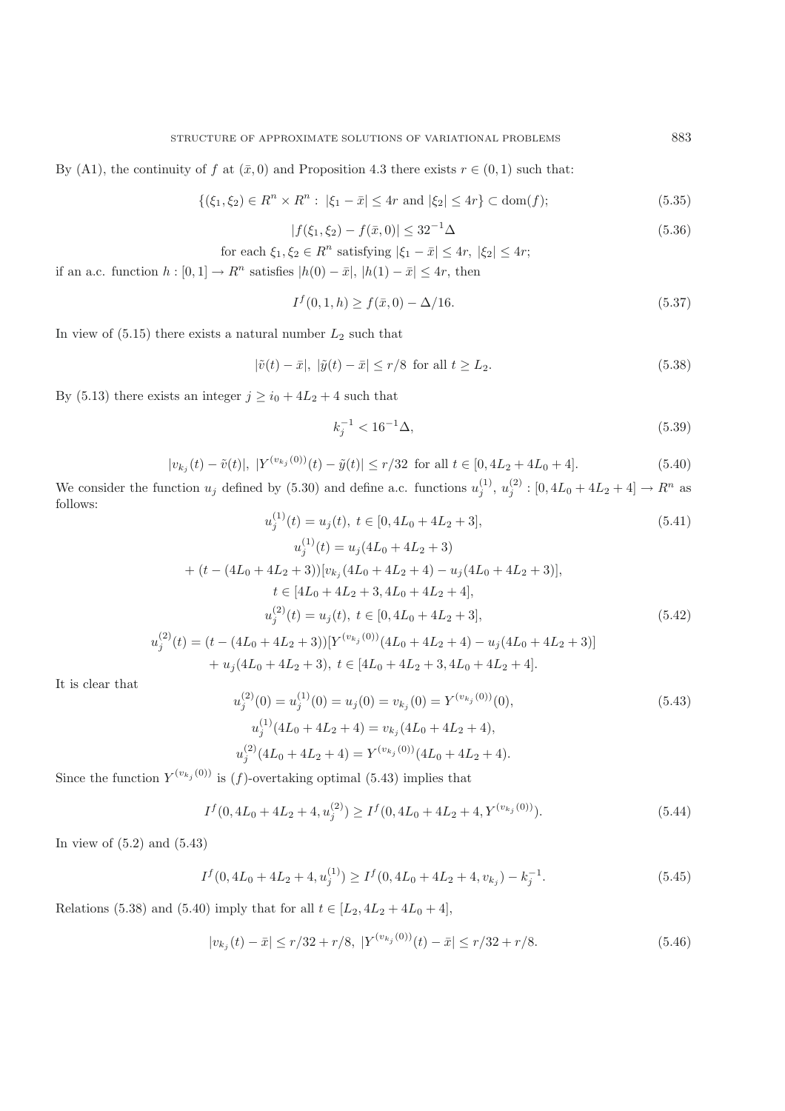$$
\{ (\xi_1, \xi_2) \in R^n \times R^n : |\xi_1 - \bar{x}| \le 4r \text{ and } |\xi_2| \le 4r \} \subset \text{dom}(f); \tag{5.35}
$$

$$
|f(\xi_1, \xi_2) - f(\bar{x}, 0)| \le 32^{-1} \Delta \tag{5.36}
$$

for each 
$$
\xi_1, \xi_2 \in R^n
$$
 satisfying  $|\xi_1 - \bar{x}| \le 4r$ ,  $|\xi_2| \le 4r$ ;  
or, if  $\xi_1, \xi_2$ ,  $|\xi_2|$ ,  $\xi_1, \xi_2$ , and  $|\xi_2|$ 

if an a.c. function  $h : [0, 1] \to R^n$  satisfies  $|h(0) - \bar{x}|, |h(1) - \bar{x}| \leq 4r$ , then

$$
I^f(0,1,h) \ge f(\bar{x},0) - \Delta/16. \tag{5.37}
$$

In view of  $(5.15)$  there exists a natural number  $L_2$  such that

$$
|\tilde{v}(t) - \bar{x}|, |\tilde{y}(t) - \bar{x}| \le r/8 \text{ for all } t \ge L_2.
$$
\n
$$
(5.38)
$$

By (5.13) there exists an integer  $j \ge i_0 + 4L_2 + 4$  such that

$$
k_j^{-1} < 16^{-1}\Delta,\tag{5.39}
$$

$$
|v_{k_j}(t) - \tilde{v}(t)|, |Y^{(v_{k_j}(0))}(t) - \tilde{y}(t)| \le r/32 \text{ for all } t \in [0, 4L_2 + 4L_0 + 4].
$$
 (5.40)

We consider the function  $u_j$  defined by (5.30) and define a.c. functions  $u_j^{(1)}$ ,  $u_j^{(2)}$ :  $[0, 4L_0 + 4L_2 + 4] \rightarrow R^n$  as follows: follows:

$$
u_j^{(1)}(t) = u_j(t), \ t \in [0, 4L_0 + 4L_2 + 3], \tag{5.41}
$$

$$
u_j^{(1)}(t) = u_j(4L_0 + 4L_2 + 3)
$$
  
+  $(t - (4L_0 + 4L_2 + 3))[v_{kj}(4L_0 + 4L_2 + 4) - u_j(4L_0 + 4L_2 + 3)],$   
 $t \in [4L_0 + 4L_2 + 3, 4L_0 + 4L_2 + 4],$   
 $u_j^{(2)}(t) = u_j(t), t \in [0, 4L_0 + 4L_2 + 3],$   
 $u_j^{(2)}(t) = (t - (4L_0 + 4L_2 + 3))[Y^{(v_{kj}(0))}(4L_0 + 4L_2 + 4) - u_j(4L_0 + 4L_2 + 3)]$   
+  $u_j(4L_0 + 4L_2 + 3), t \in [4L_0 + 4L_2 + 3, 4L_0 + 4L_2 + 4].$  (5.42)

It is clear that

$$
u_j^{(2)}(0) = u_j^{(1)}(0) = u_j(0) = v_{k_j}(0) = Y^{(v_{k_j}(0))}(0),
$$
\n
$$
u_j^{(1)}(4L_0 + 4L_2 + 4) = v_{k_j}(4L_0 + 4L_2 + 4),
$$
\n
$$
u_j^{(2)}(4L_0 + 4L_2 + 4) = Y^{(v_{k_j}(0))}(4L_0 + 4L_2 + 4).
$$
\n(5.43)

Since the function  $Y^{(v_{k_j}(0))}$  is  $(f)$ -overtaking optimal (5.43) implies that

$$
I^f(0, 4L_0 + 4L_2 + 4, u_j^{(2)}) \ge I^f(0, 4L_0 + 4L_2 + 4, Y^{(v_{k_j}(0))}).
$$
\n(5.44)

In view of (5.2) and (5.43)

$$
I^f(0, 4L_0 + 4L_2 + 4, u_j^{(1)}) \ge I^f(0, 4L_0 + 4L_2 + 4, v_{k_j}) - k_j^{-1}.
$$
\n(5.45)

Relations (5.38) and (5.40) imply that for all  $t \in [L_2, 4L_2 + 4L_0 + 4]$ ,

$$
|v_{k_j}(t) - \bar{x}| \le r/32 + r/8, \ |Y^{(v_{k_j}(0))}(t) - \bar{x}| \le r/32 + r/8. \tag{5.46}
$$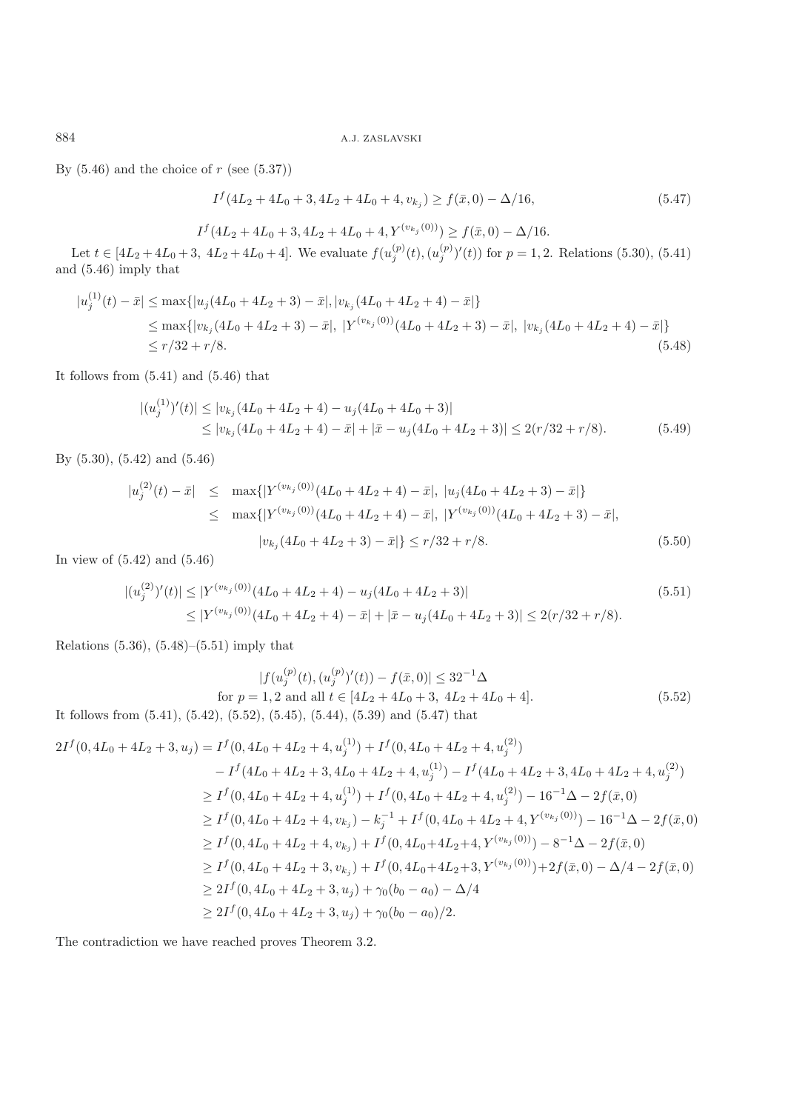By  $(5.46)$  and the choice of r (see  $(5.37)$ )

$$
I^f(4L_2 + 4L_0 + 3, 4L_2 + 4L_0 + 4, v_{k_j}) \ge f(\bar{x}, 0) - \Delta/16,
$$
\n(5.47)

 $I^f(4L_2 + 4L_0 + 3, 4L_2 + 4L_0 + 4, Y^{(v_{k_j}(0))}) \ge f(\bar{x}, 0) - \Delta/16.$ 

Let  $t \in [4L_2 + 4L_0 + 3, 4L_2 + 4L_0 + 4]$ . We evaluate  $f(u_j^{(p)}(t), (u_j^{(p)})'(t))$  for  $p = 1, 2$ . Relations (5.30), (5.41) and (5.46) imply that

$$
|u_j^{(1)}(t) - \bar{x}| \le \max\{|u_j(4L_0 + 4L_2 + 3) - \bar{x}|, |v_{k_j}(4L_0 + 4L_2 + 4) - \bar{x}|\}
$$
  
\n
$$
\le \max\{|v_{k_j}(4L_0 + 4L_2 + 3) - \bar{x}|, |Y^{(v_{k_j}(0))}(4L_0 + 4L_2 + 3) - \bar{x}|, |v_{k_j}(4L_0 + 4L_2 + 4) - \bar{x}|\}
$$
  
\n
$$
\le r/32 + r/8.
$$
\n(5.48)

It follows from (5.41) and (5.46) that

$$
\begin{aligned} |(u_j^{(1)})'(t)| &\le |v_{k_j}(4L_0 + 4L_2 + 4) - u_j(4L_0 + 4L_0 + 3)| \\ &\le |v_{k_j}(4L_0 + 4L_2 + 4) - \bar{x}| + |\bar{x} - u_j(4L_0 + 4L_2 + 3)| \le 2(r/32 + r/8). \end{aligned} \tag{5.49}
$$

By (5.30), (5.42) and (5.46)

$$
|u_j^{(2)}(t) - \bar{x}| \leq \max\{|Y^{(v_{k_j}(0))}(4L_0 + 4L_2 + 4) - \bar{x}|, |u_j(4L_0 + 4L_2 + 3) - \bar{x}|\}
$$
  
\n
$$
\leq \max\{|Y^{(v_{k_j}(0))}(4L_0 + 4L_2 + 4) - \bar{x}|, |Y^{(v_{k_j}(0))}(4L_0 + 4L_2 + 3) - \bar{x}|,
$$
  
\n
$$
|v_{k_j}(4L_0 + 4L_2 + 3) - \bar{x}|\} \leq r/32 + r/8.
$$
\n(5.50)

In view of (5.42) and (5.46)

$$
\begin{aligned} |(u_j^{(2)})'(t)| &\le |Y^{(v_{k_j}(0))}(4L_0 + 4L_2 + 4) - u_j(4L_0 + 4L_2 + 3)| \\ &\le |Y^{(v_{k_j}(0))}(4L_0 + 4L_2 + 4) - \bar{x}| + |\bar{x} - u_j(4L_0 + 4L_2 + 3)| \le 2(r/32 + r/8). \end{aligned} \tag{5.51}
$$

Relations (5.36), (5.48)–(5.51) imply that

$$
|f(u_j^{(p)}(t), (u_j^{(p)})'(t)) - f(\bar{x}, 0)| \le 32^{-1} \Delta
$$
  
for  $p = 1, 2$  and all  $t \in [4L_2 + 4L_0 + 3, 4L_2 + 4L_0 + 4]$ .  
It follows from (5.41), (5.42), (5.52), (5.45), (5.44), (5.39) and (5.47) that

$$
2I^f(0, 4L_0 + 4L_2 + 3, u_j) = I^f(0, 4L_0 + 4L_2 + 4, u_j^{(1)}) + I^f(0, 4L_0 + 4L_2 + 4, u_j^{(2)})
$$
  
\n
$$
- I^f(4L_0 + 4L_2 + 3, 4L_0 + 4L_2 + 4, u_j^{(1)}) - I^f(4L_0 + 4L_2 + 3, 4L_0 + 4L_2 + 4, u_j^{(2)})
$$
  
\n
$$
\geq I^f(0, 4L_0 + 4L_2 + 4, u_j^{(1)}) + I^f(0, 4L_0 + 4L_2 + 4, u_j^{(2)}) - 16^{-1}\Delta - 2f(\bar{x}, 0)
$$
  
\n
$$
\geq I^f(0, 4L_0 + 4L_2 + 4, v_{k_j}) - k_j^{-1} + I^f(0, 4L_0 + 4L_2 + 4, Y^{(v_{k_j}(0))}) - 16^{-1}\Delta - 2f(\bar{x}, 0)
$$
  
\n
$$
\geq I^f(0, 4L_0 + 4L_2 + 4, v_{k_j}) + I^f(0, 4L_0 + 4L_2 + 4, Y^{(v_{k_j}(0))}) - 8^{-1}\Delta - 2f(\bar{x}, 0)
$$
  
\n
$$
\geq I^f(0, 4L_0 + 4L_2 + 3, v_{k_j}) + I^f(0, 4L_0 + 4L_2 + 3, Y^{(v_{k_j}(0))}) + 2f(\bar{x}, 0) - \Delta/4 - 2f(\bar{x}, 0)
$$
  
\n
$$
\geq 2I^f(0, 4L_0 + 4L_2 + 3, u_j) + \gamma_0(b_0 - a_0) - \Delta/4
$$
  
\n
$$
\geq 2I^f(0, 4L_0 + 4L_2 + 3, u_j) + \gamma_0(b_0 - a_0)/2.
$$

The contradiction we have reached proves Theorem 3.2.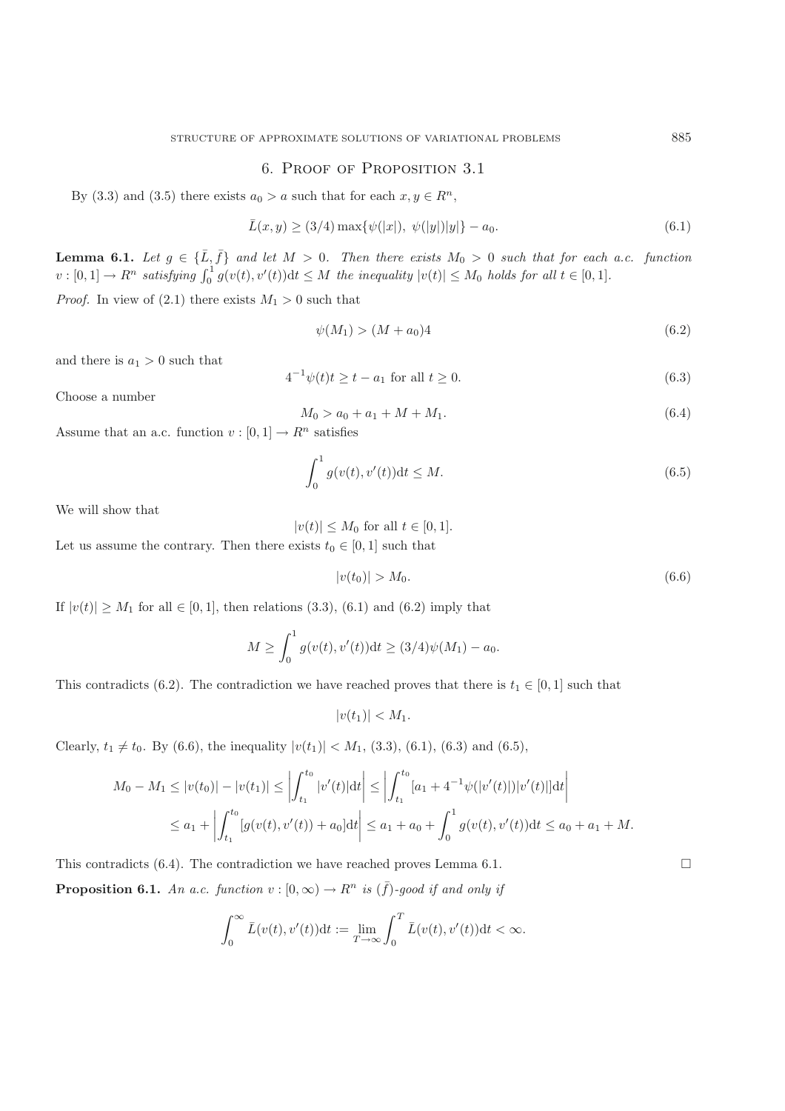### 6. Proof of Proposition 3.1

By (3.3) and (3.5) there exists  $a_0 > a$  such that for each  $x, y \in \mathbb{R}^n$ ,

$$
\bar{L}(x,y) \ge (3/4) \max\{\psi(|x|), \ \psi(|y|)|y|\} - a_0. \tag{6.1}
$$

**Lemma 6.1.** *Let*  $g \in {\{\overline{L}, \overline{f}\}}$  *and let*  $M > 0$ *. Then there exists*  $M_0 > 0$  *such that for each a.c. function*<br> $m_1[0,1] \rightarrow B^n$  extinguing  $\int_0^1 \alpha(x(t), y'(t)) dt < M$  the inequality  $|y(t)| < M$ , halds for all  $t \in [0,1]$  $v : [0,1] \to R^n$  satisfying  $\int_0^1 g(v(t), v'(t)) dt \leq M$  the inequality  $|v(t)| \leq M_0$  holds for all  $t \in [0,1]$ .

*Proof.* In view of (2.1) there exists  $M_1 > 0$  such that

$$
\psi(M_1) > (M + a_0)4\tag{6.2}
$$

and there is  $a_1 > 0$  such that

$$
4^{-1}\psi(t)t \ge t - a_1 \text{ for all } t \ge 0. \tag{6.3}
$$

Choose a number

$$
M_0 > a_0 + a_1 + M + M_1. \tag{6.4}
$$

Assume that an a.c. function  $v : [0, 1] \to \mathbb{R}^n$  satisfies

$$
\int_{0}^{1} g(v(t), v'(t)) \mathrm{d}t \le M. \tag{6.5}
$$

We will show that

 $|v(t)| \leq M_0$  for all  $t \in [0, 1]$ .

Let us assume the contrary. Then there exists  $t_0 \in [0, 1]$  such that

$$
|v(t_0)| > M_0. \t\t(6.6)
$$

If  $|v(t)| \geq M_1$  for all  $\in [0,1]$ , then relations (3.3), (6.1) and (6.2) imply that

$$
M \ge \int_0^1 g(v(t), v'(t)) dt \ge (3/4)\psi(M_1) - a_0.
$$

This contradicts (6.2). The contradiction we have reached proves that there is  $t_1 \in [0, 1]$  such that

$$
|v(t_1)| < M_1.
$$

Clearly,  $t_1 \neq t_0$ . By (6.6), the inequality  $|v(t_1)| < M_1$ , (3.3), (6.1), (6.3) and (6.5),

$$
M_0 - M_1 \le |v(t_0)| - |v(t_1)| \le \left| \int_{t_1}^{t_0} |v'(t)| dt \right| \le \left| \int_{t_1}^{t_0} [a_1 + 4^{-1} \psi(|v'(t)|) |v'(t)|] dt \right|
$$
  

$$
\le a_1 + \left| \int_{t_1}^{t_0} [g(v(t), v'(t)) + a_0] dt \right| \le a_1 + a_0 + \int_0^1 g(v(t), v'(t)) dt \le a_0 + a_1 + M.
$$

This contradicts  $(6.4)$ . The contradiction we have reached proves Lemma 6.1. **Proposition 6.1.** *An a.c. function*  $v : [0, \infty) \to R^n$  *is*  $(\bar{f})$ *-good if and only if* 

$$
\int_0^\infty \bar{L}(v(t),v'(t))\mathrm{d}t := \lim_{T\to\infty} \int_0^T \bar{L}(v(t),v'(t))\mathrm{d}t < \infty.
$$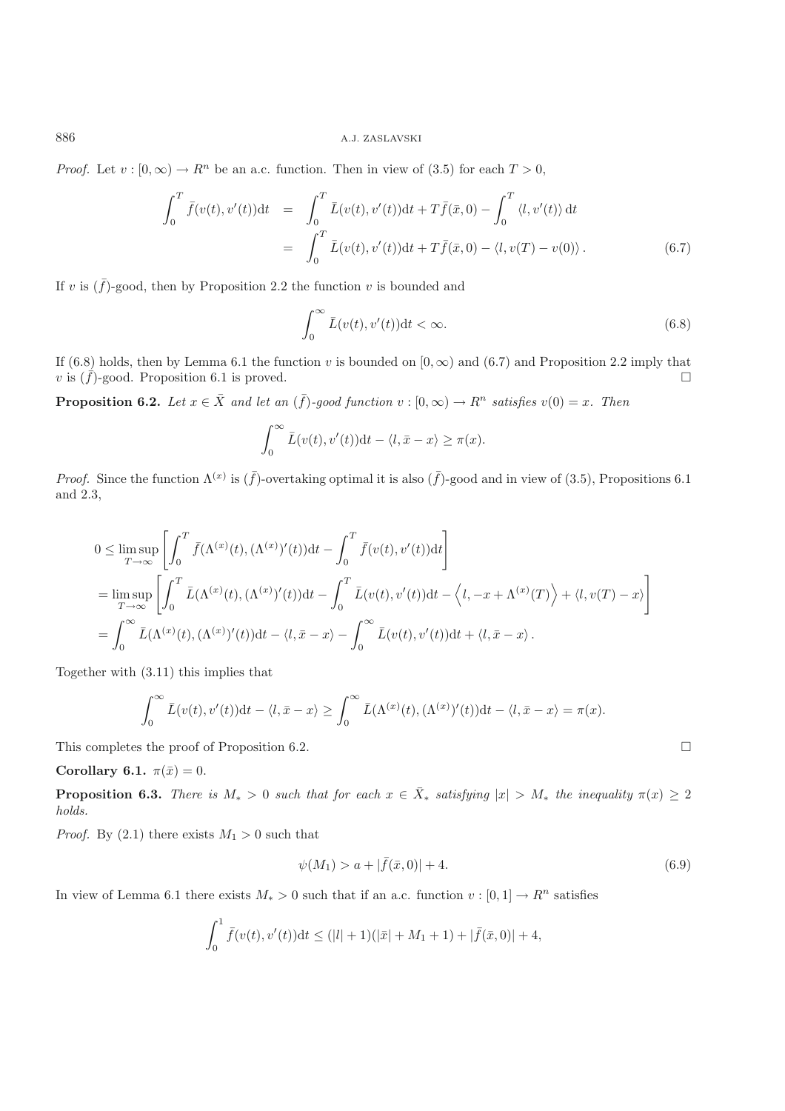*Proof.* Let  $v : [0, \infty) \to \mathbb{R}^n$  be an a.c. function. Then in view of (3.5) for each  $T > 0$ ,

$$
\int_0^T \bar{f}(v(t), v'(t))dt = \int_0^T \bar{L}(v(t), v'(t))dt + T\bar{f}(\bar{x}, 0) - \int_0^T \langle l, v'(t) \rangle dt \n= \int_0^T \bar{L}(v(t), v'(t))dt + T\bar{f}(\bar{x}, 0) - \langle l, v(T) - v(0) \rangle.
$$
\n(6.7)

If v is  $(\bar{f})$ -good, then by Proposition 2.2 the function v is bounded and

$$
\int_0^\infty \bar{L}(v(t), v'(t))dt < \infty. \tag{6.8}
$$

If (6.8) holds, then by Lemma 6.1 the function v is bounded on  $(0, \infty)$  and (6.7) and Proposition 2.2 imply that v is  $(\bar{f})$ -good. Proposition 6.1 is proved.  $\Box$ 

**Proposition 6.2.** *Let*  $x \in \overline{X}$  *and let* an  $(\overline{f})$ *-good function*  $v : [0, \infty) \to R^n$  *satisfies*  $v(0) = x$ *. Then* 

$$
\int_0^\infty \bar{L}(v(t), v'(t)) \mathrm{d}t - \langle l, \bar{x} - x \rangle \ge \pi(x).
$$

*Proof.* Since the function  $\Lambda^{(x)}$  is  $(\bar{f})$ -overtaking optimal it is also  $(\bar{f})$ -good and in view of (3.5), Propositions 6.1 and 2.3,

$$
0 \leq \limsup_{T \to \infty} \left[ \int_0^T \bar{f}(\Lambda^{(x)}(t), (\Lambda^{(x)})'(t)) dt - \int_0^T \bar{f}(v(t), v'(t)) dt \right]
$$
  
= 
$$
\limsup_{T \to \infty} \left[ \int_0^T \bar{L}(\Lambda^{(x)}(t), (\Lambda^{(x)})'(t)) dt - \int_0^T \bar{L}(v(t), v'(t)) dt - \langle l, -x + \Lambda^{(x)}(T) \rangle + \langle l, v(T) - x \rangle \right]
$$
  
= 
$$
\int_0^{\infty} \bar{L}(\Lambda^{(x)}(t), (\Lambda^{(x)})'(t)) dt - \langle l, \bar{x} - x \rangle - \int_0^{\infty} \bar{L}(v(t), v'(t)) dt + \langle l, \bar{x} - x \rangle.
$$

Together with (3.11) this implies that

$$
\int_0^\infty \bar{L}(v(t),v'(t))dt - \langle l,\bar{x}-x\rangle \ge \int_0^\infty \bar{L}(\Lambda^{(x)}(t),(\Lambda^{(x)})'(t))dt - \langle l,\bar{x}-x\rangle = \pi(x).
$$

This completes the proof of Proposition 6.2.

### **Corollary 6.1.**  $\pi(\bar{x})=0$ .

**Proposition 6.3.** *There is*  $M_* > 0$  *such that for each*  $x \in \overline{X}_*$  *satisfying*  $|x| > M_*$  *the inequality*  $\pi(x) \geq 2$ *holds.*

*Proof.* By (2.1) there exists  $M_1 > 0$  such that

$$
\psi(M_1) > a + |\bar{f}(\bar{x}, 0)| + 4. \tag{6.9}
$$

In view of Lemma 6.1 there exists  $M_* > 0$  such that if an a.c. function  $v : [0,1] \to R^n$  satisfies

$$
\int_0^1 \bar{f}(v(t), v'(t))dt \le (|l| + 1)(|\bar{x}| + M_1 + 1) + |\bar{f}(\bar{x}, 0)| + 4,
$$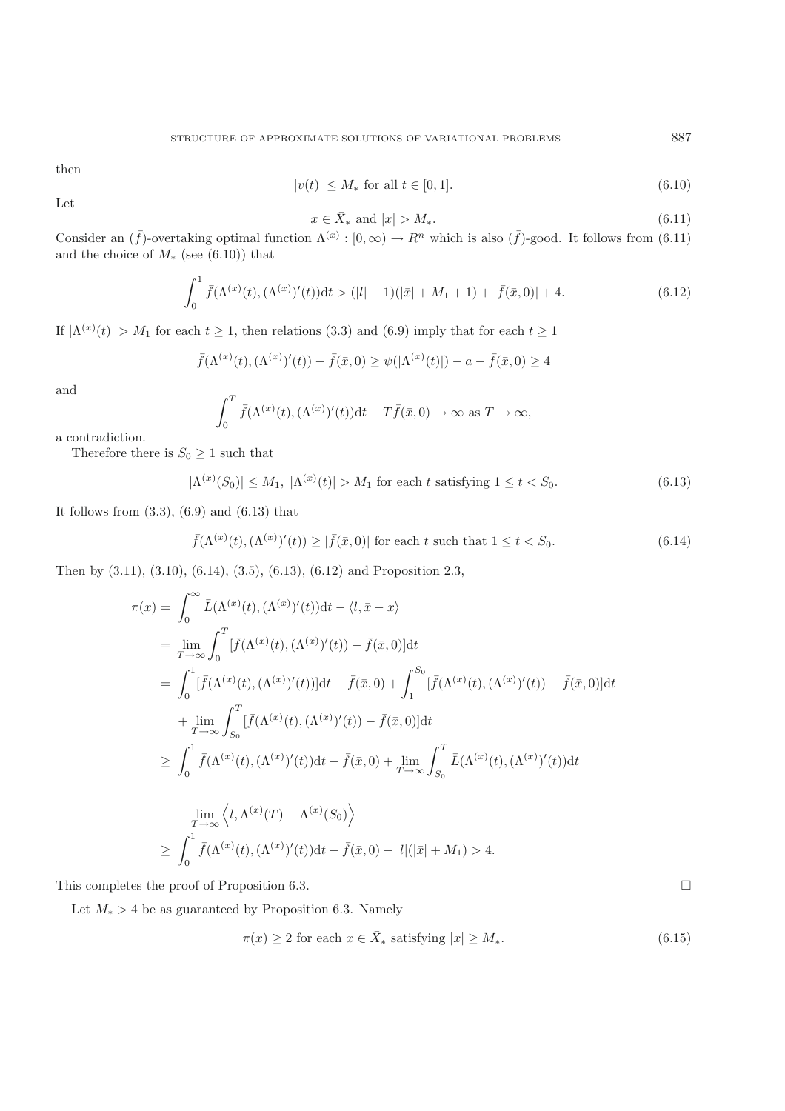then

$$
|v(t)| \le M_* \text{ for all } t \in [0, 1]. \tag{6.10}
$$

Let

$$
\mathbf{y} = \mathbf{y} \tag{3}
$$

 $x \in \bar{X}_*$  and  $|x| > M_*$ . (6.11) Consider an  $(\bar{f})$ -overtaking optimal function  $\Lambda^{(x)} : [0, \infty) \to R^n$  which is also  $(\bar{f})$ -good. It follows from (6.11) and the choice of  $M_*$  (see (6.10)) that

$$
\int_0^1 \bar{f}(\Lambda^{(x)}(t), (\Lambda^{(x)})'(t))dt > (|l|+1)(|\bar{x}|+M_1+1) + |\bar{f}(\bar{x}, 0)|+4.
$$
\n(6.12)

If  $|\Lambda^{(x)}(t)| > M_1$  for each  $t \ge 1$ , then relations (3.3) and (6.9) imply that for each  $t \ge 1$ 

$$
\bar{f}(\Lambda^{(x)}(t), (\Lambda^{(x)})'(t)) - \bar{f}(\bar{x}, 0) \ge \psi(|\Lambda^{(x)}(t)|) - a - \bar{f}(\bar{x}, 0) \ge 4
$$

and

$$
\int_0^T \bar{f}(\Lambda^{(x)}(t), (\Lambda^{(x)})'(t))dt - T\bar{f}(\bar{x}, 0) \to \infty \text{ as } T \to \infty,
$$

a contradiction.

Therefore there is  $S_0 \geq 1$  such that

$$
|\Lambda^{(x)}(S_0)| \le M_1, \ |\Lambda^{(x)}(t)| > M_1 \text{ for each } t \text{ satisfying } 1 \le t < S_0. \tag{6.13}
$$

It follows from (3.3), (6.9) and (6.13) that

$$
\bar{f}(\Lambda^{(x)}(t), (\Lambda^{(x)})'(t)) \ge |\bar{f}(\bar{x}, 0)| \text{ for each } t \text{ such that } 1 \le t < S_0. \tag{6.14}
$$

Then by (3.11), (3.10), (6.14), (3.5), (6.13), (6.12) and Proposition 2.3,

$$
\pi(x) = \int_0^\infty \bar{L}(\Lambda^{(x)}(t), (\Lambda^{(x)})'(t))dt - \langle l, \bar{x} - x \rangle
$$
  
\n
$$
= \lim_{T \to \infty} \int_0^T [\bar{f}(\Lambda^{(x)}(t), (\Lambda^{(x)})'(t)) - \bar{f}(\bar{x}, 0)]dt
$$
  
\n
$$
= \int_0^1 [\bar{f}(\Lambda^{(x)}(t), (\Lambda^{(x)})'(t))]dt - \bar{f}(\bar{x}, 0) + \int_1^{S_0} [\bar{f}(\Lambda^{(x)}(t), (\Lambda^{(x)})'(t)) - \bar{f}(\bar{x}, 0)]dt
$$
  
\n
$$
+ \lim_{T \to \infty} \int_{S_0}^T [\bar{f}(\Lambda^{(x)}(t), (\Lambda^{(x)})'(t)) - \bar{f}(\bar{x}, 0)]dt
$$
  
\n
$$
\geq \int_0^1 \bar{f}(\Lambda^{(x)}(t), (\Lambda^{(x)})'(t))dt - \bar{f}(\bar{x}, 0) + \lim_{T \to \infty} \int_{S_0}^T \bar{L}(\Lambda^{(x)}(t), (\Lambda^{(x)})'(t))dt
$$
  
\n
$$
- \lim_{T \to \infty} \langle l, \Lambda^{(x)}(T) - \Lambda^{(x)}(S_0) \rangle
$$
  
\n
$$
\geq \int_0^1 \bar{f}(\Lambda^{(x)}(t), (\Lambda^{(x)})'(t))dt - \bar{f}(\bar{x}, 0) - |l|(|\bar{x}| + M_1) > 4.
$$

This completes the proof of Proposition 6.3.

Let  $M_* > 4$  be as guaranteed by Proposition 6.3. Namely

$$
\pi(x) \ge 2 \text{ for each } x \in \bar{X}_* \text{ satisfying } |x| \ge M_*.
$$
\n
$$
(6.15)
$$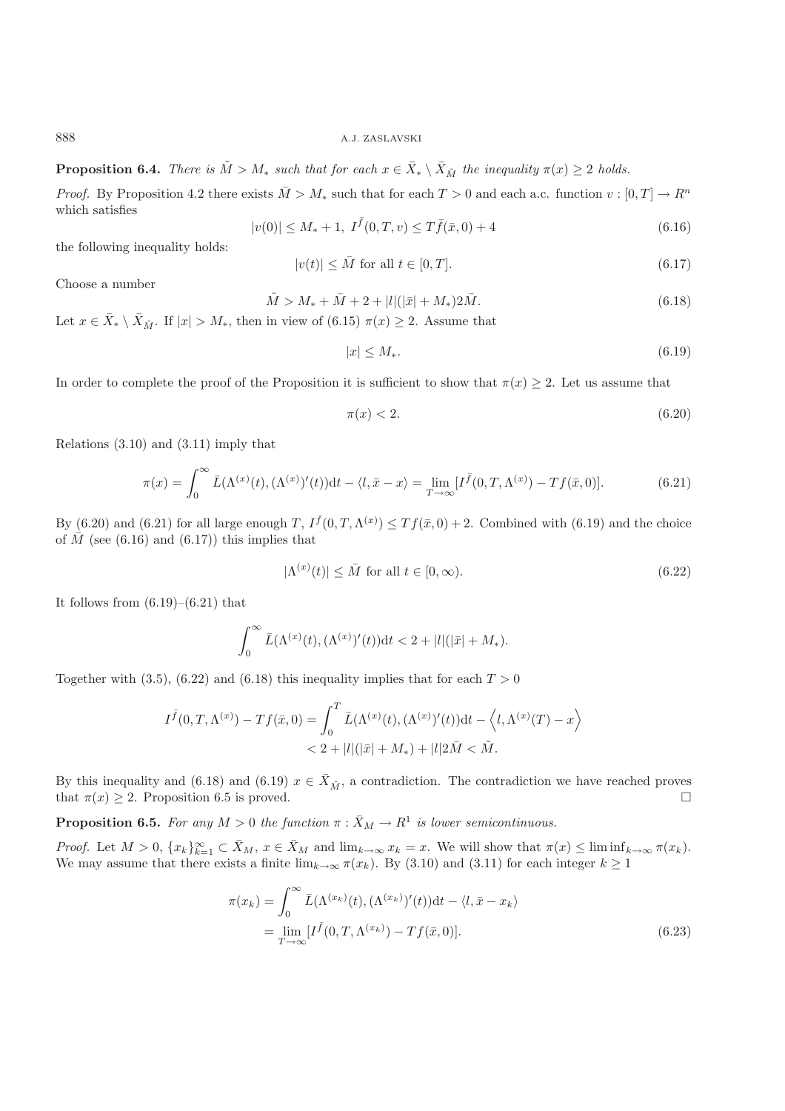**Proposition 6.4.** *There is*  $\tilde{M} > M_*$  *such that for each*  $x \in \overline{X}_* \setminus \overline{X}_{\tilde{M}}$  *the inequality*  $\pi(x) \ge 2$  *holds.* 

*Proof.* By Proposition 4.2 there exists  $\overline{M} > M_*$  such that for each  $T > 0$  and each a.c. function  $v : [0, T] \to R^n$ which satisfies

$$
|v(0)| \le M_* + 1, \ I^{\bar{f}}(0,T,v) \le T\bar{f}(\bar{x},0) + 4 \tag{6.16}
$$

the following inequality holds:

$$
|v(t)| \le \bar{M} \text{ for all } t \in [0, T]. \tag{6.17}
$$

Choose a number

$$
\tilde{M} > M_* + \bar{M} + 2 + |l|(|\bar{x}| + M_*) 2\bar{M}.
$$
\n(6.18)

Let  $x \in \bar{X}_* \setminus \bar{X}_{\tilde{M}}$ . If  $|x| > M_*$ , then in view of (6.15)  $\pi(x) \geq 2$ . Assume that

$$
|x| \le M_*.\tag{6.19}
$$

In order to complete the proof of the Proposition it is sufficient to show that  $\pi(x) \geq 2$ . Let us assume that

$$
\pi(x) < 2. \tag{6.20}
$$

Relations (3.10) and (3.11) imply that

$$
\pi(x) = \int_0^\infty \bar{L}(\Lambda^{(x)}(t), (\Lambda^{(x)})'(t))dt - \langle l, \bar{x} - x \rangle = \lim_{T \to \infty} [I^{\bar{f}}(0, T, \Lambda^{(x)}) - Tf(\bar{x}, 0)].\tag{6.21}
$$

By (6.20) and (6.21) for all large enough  $T$ ,  $I^{\bar{f}}(0,T,\Lambda^{(x)}) \le Tf(\bar{x},0) + 2$ . Combined with (6.19) and the choice of  $\bar{M}$  (see (6.16) and (6.17)) this implies that of  $\overline{M}$  (see (6.16) and (6.17)) this implies that

$$
|\Lambda^{(x)}(t)| \le \bar{M} \text{ for all } t \in [0, \infty). \tag{6.22}
$$

It follows from  $(6.19)$ – $(6.21)$  that

$$
\int_0^\infty \bar{L}(\Lambda^{(x)}(t), (\Lambda^{(x)})'(t))dt < 2 + |l|(|\bar{x}| + M_*).
$$

Together with (3.5), (6.22) and (6.18) this inequality implies that for each  $T > 0$ 

$$
I^{\bar{f}}(0,T,\Lambda^{(x)}) - Tf(\bar{x},0) = \int_0^T \bar{L}(\Lambda^{(x)}(t),(\Lambda^{(x)})'(t))dt - \langle l,\Lambda^{(x)}(T) - x \rangle
$$
  
< 
$$
< 2 + |l|(|\bar{x}| + M_*) + |l|2\bar{M} < \tilde{M}.
$$

By this inequality and (6.18) and (6.19)  $x \in \bar{X}_{\tilde{M}}$ , a contradiction. The contradiction we have reached proves that  $\pi(x) > 2$ . Proposition 6.5 is proved that  $\pi(x) \geq 2$ . Proposition 6.5 is proved.  $\Box$ 

**Proposition 6.5.** *For any*  $M > 0$  *the function*  $\pi : \bar{X}_M \to \mathbb{R}^1$  *is lower semicontinuous.* 

*Proof.* Let  $M > 0$ ,  $\{x_k\}_{k=1}^{\infty} \subset \bar{X}_M$ ,  $x \in \bar{X}_M$  and  $\lim_{k \to \infty} x_k = x$ . We will show that  $\pi(x) \leq \liminf_{k \to \infty} \pi(x_k)$ .<br>We may assume that there exists a finite  $\lim_{k \to \infty} \pi(x_k)$ . By (3.10) and (3.11) for each inte We may assume that there exists a finite  $\lim_{k\to\infty} \pi(x_k)$ . By (3.10) and (3.11) for each integer  $k \ge 1$ 

$$
\pi(x_k) = \int_0^\infty \bar{L}(\Lambda^{(x_k)}(t), (\Lambda^{(x_k)})'(t))dt - \langle l, \bar{x} - x_k \rangle
$$
  
= 
$$
\lim_{T \to \infty} [I^{\bar{f}}(0, T, \Lambda^{(x_k)}) - Tf(\bar{x}, 0)].
$$
 (6.23)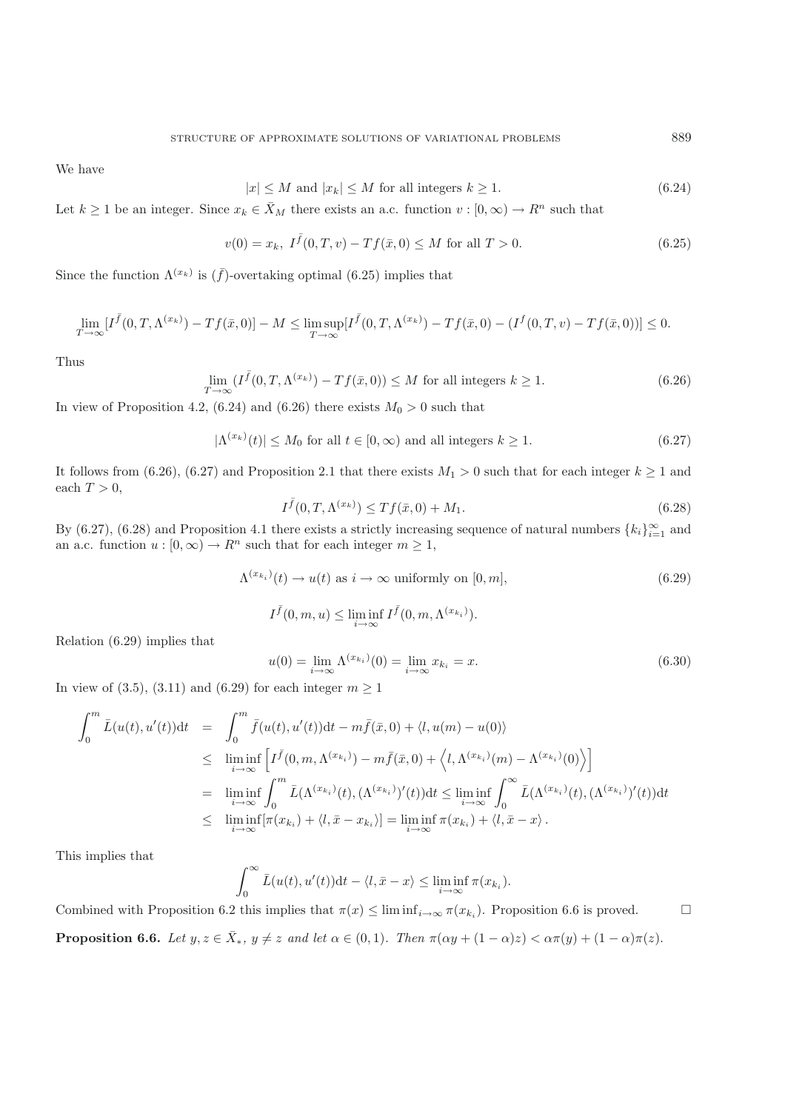We have

$$
|x| \le M \text{ and } |x_k| \le M \text{ for all integers } k \ge 1. \tag{6.24}
$$

Let  $k \ge 1$  be an integer. Since  $x_k \in \overline{X}_M$  there exists an a.c. function  $v : [0, \infty) \to R^n$  such that

$$
v(0) = x_k, \ I^{\bar{f}}(0, T, v) - Tf(\bar{x}, 0) \le M \text{ for all } T > 0.
$$
 (6.25)

Since the function  $\Lambda^{(x_k)}$  is  $(\bar{f})$ -overtaking optimal (6.25) implies that

$$
\lim_{T \to \infty} [I^{\bar{f}}(0,T,\Lambda^{(x_k)}) - Tf(\bar{x},0)] - M \le \limsup_{T \to \infty} [I^{\bar{f}}(0,T,\Lambda^{(x_k)}) - Tf(\bar{x},0) - (I^f(0,T,v) - Tf(\bar{x},0))] \le 0.
$$

Thus

$$
\lim_{T \to \infty} (I^{\bar{f}}(0, T, \Lambda^{(x_k)}) - Tf(\bar{x}, 0)) \le M \text{ for all integers } k \ge 1.
$$
\n(6.26)

In view of Proposition 4.2, (6.24) and (6.26) there exists  $M_0 > 0$  such that

$$
|\Lambda^{(x_k)}(t)| \le M_0 \text{ for all } t \in [0, \infty) \text{ and all integers } k \ge 1.
$$
 (6.27)

It follows from (6.26), (6.27) and Proposition 2.1 that there exists  $M_1 > 0$  such that for each integer  $k \ge 1$  and each  $T > 0$ ,

$$
I^{\bar{f}}(0,T,\Lambda^{(x_k)}) \le Tf(\bar{x},0) + M_1.
$$
\n(6.28)

By (6.27), (6.28) and Proposition 4.1 there exists a strictly increasing sequence of natural numbers  ${k_i}_{i=1}^{\infty}$  and  $k_i$ an a.c. function  $u : [0, \infty) \to \mathbb{R}^n$  such that for each integer  $m \geq 1$ ,

$$
\Lambda^{(x_{k_i})}(t) \to u(t) \text{ as } i \to \infty \text{ uniformly on } [0, m], \tag{6.29}
$$

$$
I^{\bar{f}}(0,m,u) \leq \liminf_{i \to \infty} I^{\bar{f}}(0,m,\Lambda^{(x_{k_i})}).
$$

Relation (6.29) implies that

$$
u(0) = \lim_{i \to \infty} \Lambda^{(x_{k_i})}(0) = \lim_{i \to \infty} x_{k_i} = x.
$$
 (6.30)

In view of (3.5), (3.11) and (6.29) for each integer  $m \ge 1$ 

$$
\int_0^m \bar{L}(u(t), u'(t))dt = \int_0^m \bar{f}(u(t), u'(t))dt - m\bar{f}(\bar{x}, 0) + \langle l, u(m) - u(0) \rangle
$$
  
\n
$$
\leq \liminf_{i \to \infty} \left[ I^{\bar{f}}(0, m, \Lambda^{(x_{k_i})}) - m\bar{f}(\bar{x}, 0) + \langle l, \Lambda^{(x_{k_i})}(m) - \Lambda^{(x_{k_i})}(0) \rangle \right]
$$
  
\n
$$
= \liminf_{i \to \infty} \int_0^m \bar{L}(\Lambda^{(x_{k_i})}(t), (\Lambda^{(x_{k_i})})'(t))dt \leq \liminf_{i \to \infty} \int_0^{\infty} \bar{L}(\Lambda^{(x_{k_i})}(t), (\Lambda^{(x_{k_i})})'(t))dt
$$
  
\n
$$
\leq \liminf_{i \to \infty} [\pi(x_{k_i}) + \langle l, \bar{x} - x_{k_i} \rangle] = \liminf_{i \to \infty} \pi(x_{k_i}) + \langle l, \bar{x} - x \rangle.
$$

This implies that

$$
\int_0^\infty \bar{L}(u(t), u'(t)) dt - \langle l, \bar{x} - x \rangle \leq \liminf_{i \to \infty} \pi(x_{k_i}).
$$

Combined with Proposition 6.2 this implies that  $\pi(x) \leq \liminf_{i \to \infty} \pi(x_{k_i})$ . Proposition 6.6 is proved. **Proposition 6.6.** *Let*  $y, z \in \overline{X}_*$ *,*  $y \neq z$  *and let*  $\alpha \in (0, 1)$ *. Then*  $\pi(\alpha y + (1 - \alpha)z) < \alpha \pi(y) + (1 - \alpha)\pi(z)$ *.*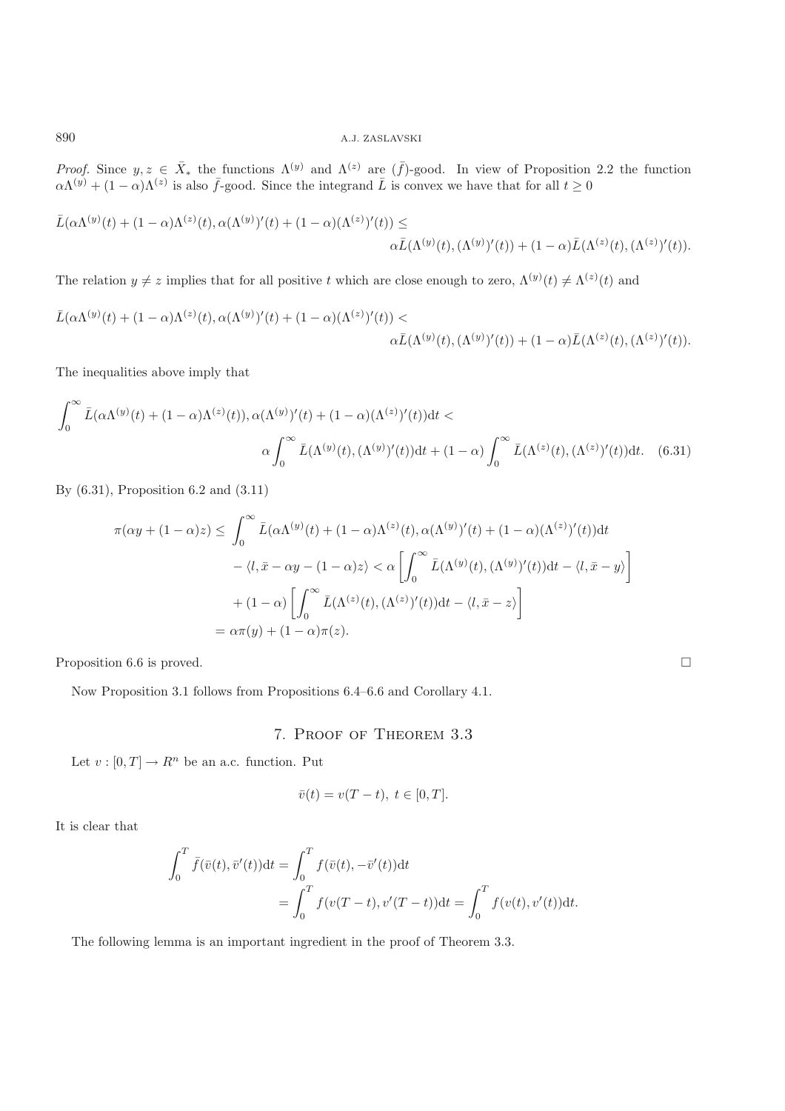*Proof.* Since  $y, z \in \bar{X}_*$  the functions  $\Lambda^{(y)}$  and  $\Lambda^{(z)}$  are  $(\bar{f})$ -good. In view of Proposition 2.2 the function  $\Omega^{(y)} + (1-\alpha)\Lambda^{(z)}$  is also  $\bar{f}$  good. Since the integrand  $\bar{f}$  is convex we have that for a  $\alpha\Lambda^{(y)} + (1-\alpha)\Lambda^{(z)}$  is also  $\bar{f}$ -good. Since the integrand  $\bar{L}$  is convex we have that for all  $t \ge 0$ 

$$
\bar{L}(\alpha \Lambda^{(y)}(t) + (1 - \alpha) \Lambda^{(z)}(t), \alpha (\Lambda^{(y)})'(t) + (1 - \alpha) (\Lambda^{(z)})'(t)) \le \alpha \bar{L}(\Lambda^{(y)}(t), (\Lambda^{(y)})'(t)) + (1 - \alpha) \bar{L}(\Lambda^{(z)}(t), (\Lambda^{(z)})'(t)).
$$

The relation  $y \neq z$  implies that for all positive t which are close enough to zero,  $\Lambda^{(y)}(t) \neq \Lambda^{(z)}(t)$  and

$$
\bar{L}(\alpha \Lambda^{(y)}(t) + (1 - \alpha) \Lambda^{(z)}(t), \alpha (\Lambda^{(y)})'(t) + (1 - \alpha) (\Lambda^{(z)})'(t)) \alpha \bar{L}(\Lambda^{(y)}(t), (\Lambda^{(y)})'(t)) + (1 - \alpha) \bar{L}(\Lambda^{(z)}(t), (\Lambda^{(z)})'(t)).
$$

The inequalities above imply that

$$
\int_0^\infty \bar{L}(\alpha \Lambda^{(y)}(t) + (1 - \alpha) \Lambda^{(z)}(t)), \alpha (\Lambda^{(y)})'(t) + (1 - \alpha) (\Lambda^{(z)})'(t) dt \n\alpha \int_0^\infty \bar{L}(\Lambda^{(y)}(t), (\Lambda^{(y)})'(t)) dt + (1 - \alpha) \int_0^\infty \bar{L}(\Lambda^{(z)}(t), (\Lambda^{(z)})'(t)) dt.
$$
\n(6.31)

By (6.31), Proposition 6.2 and (3.11)

$$
\pi(\alpha y + (1 - \alpha)z) \leq \int_0^\infty \bar{L}(\alpha \Lambda^{(y)}(t) + (1 - \alpha) \Lambda^{(z)}(t), \alpha(\Lambda^{(y)})'(t) + (1 - \alpha)(\Lambda^{(z)})'(t))dt
$$

$$
- \langle l, \bar{x} - \alpha y - (1 - \alpha)z \rangle < \alpha \left[ \int_0^\infty \bar{L}(\Lambda^{(y)}(t), (\Lambda^{(y)})'(t))dt - \langle l, \bar{x} - y \rangle \right]
$$

$$
+ (1 - \alpha) \left[ \int_0^\infty \bar{L}(\Lambda^{(z)}(t), (\Lambda^{(z)})'(t))dt - \langle l, \bar{x} - z \rangle \right]
$$

$$
= \alpha \pi(y) + (1 - \alpha)\pi(z).
$$

Proposition 6.6 is proved.

Now Proposition 3.1 follows from Propositions 6.4–6.6 and Corollary 4.1.

# 7. Proof of Theorem 3.3

 $\Box$ 

Let  $v : [0, T] \to R^n$  be an a.c. function. Put

$$
\bar{v}(t) = v(T - t), t \in [0, T].
$$

It is clear that

$$
\int_0^T \bar{f}(\bar{v}(t), \bar{v}'(t)) dt = \int_0^T f(\bar{v}(t), -\bar{v}'(t)) dt
$$
  
= 
$$
\int_0^T f(v(T-t), v'(T-t)) dt = \int_0^T f(v(t), v'(t)) dt.
$$

The following lemma is an important ingredient in the proof of Theorem 3.3.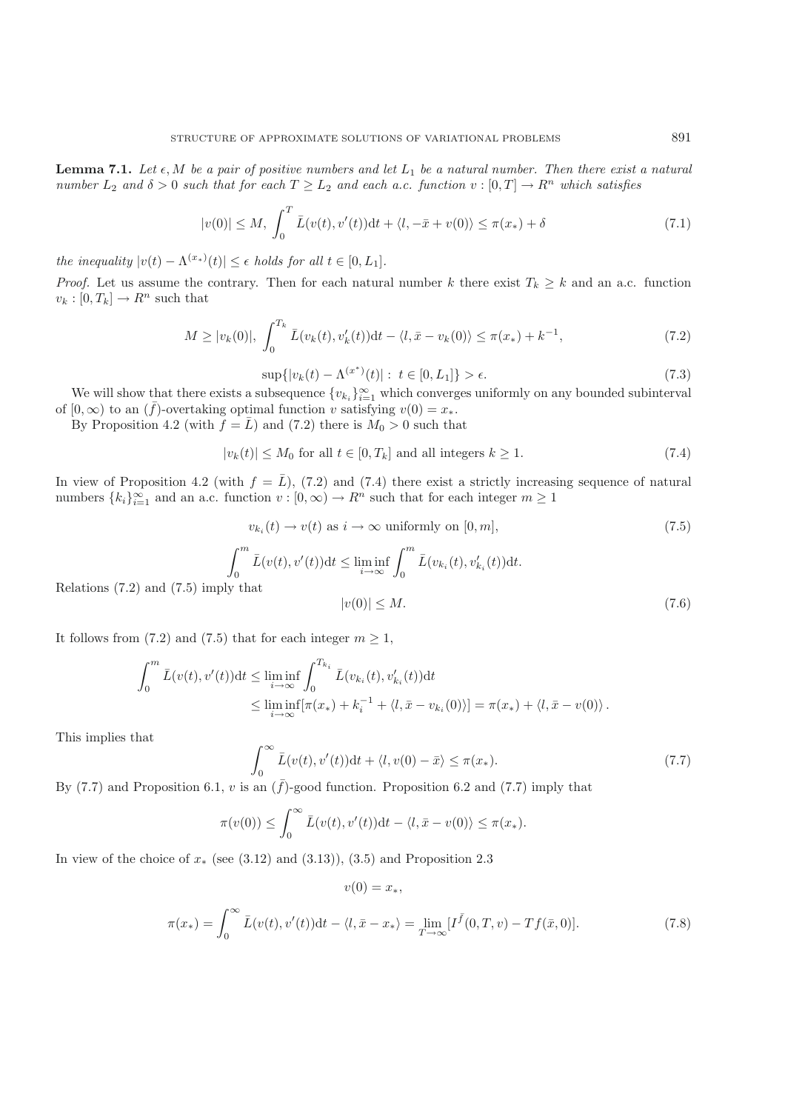**Lemma 7.1.** *Let*  $\epsilon$ , *M be a pair of positive numbers and let*  $L_1$  *be a natural number. Then there exist a natural*<br>*number*  $L_2$  *and*  $\delta > 0$  *such that for each*  $T > L_2$  *and each a.c. function y*:  $[0, T] \rightarrow R^n$ *number*  $L_2$  *and*  $\delta > 0$  *such that for each*  $T \geq L_2$  *and each a.c. function*  $v : [0, T] \rightarrow R^n$  *which satisfies* 

$$
|v(0)| \le M, \int_0^T \bar{L}(v(t), v'(t))dt + \langle l, -\bar{x} + v(0) \rangle \le \pi(x_*) + \delta
$$
\n(7.1)

*the inequality*  $|v(t) - \Lambda^{(x_*)}(t)| \leq \epsilon$  *holds for all*  $t \in [0, L_1]$ *.* 

*Proof.* Let us assume the contrary. Then for each natural number k there exist  $T_k \geq k$  and an a.c. function  $v_k : [0, T_k] \to R^n$  such that

$$
M \ge |v_k(0)|, \int_0^{T_k} \bar{L}(v_k(t), v'_k(t))dt - \langle l, \bar{x} - v_k(0) \rangle \le \pi(x_*) + k^{-1}, \tag{7.2}
$$

$$
\sup\{|v_k(t) - \Lambda^{(x^*)}(t)| : t \in [0, L_1]\} > \epsilon. \tag{7.3}
$$

We will show that there exists a subsequence  $\{v_{k_i}\}_{i=1}^{\infty}$  which converges uniformly on any bounded subinterval<br> $[0, \infty)$  to an  $(\bar{f})$ -overtaking optimal function  $v$  satisfying  $v(0) = x$ of  $[0, \infty)$  to an  $(\bar{f})$ -overtaking optimal function v satisfying  $v(0) = x_*$ .

By Proposition 4.2 (with  $f = \overline{L}$ ) and (7.2) there is  $M_0 > 0$  such that

$$
|v_k(t)| \le M_0 \text{ for all } t \in [0, T_k] \text{ and all integers } k \ge 1.
$$
 (7.4)

In view of Proposition 4.2 (with  $f = \overline{L}$ ), (7.2) and (7.4) there exist a strictly increasing sequence of natural numbers  $\{k_i\}_{i=1}^{\infty}$  and an a.c. function  $v : [0, \infty) \to \mathbb{R}^n$  such that for each integer  $m \ge 1$ 

$$
v_{k_i}(t) \to v(t) \text{ as } i \to \infty \text{ uniformly on } [0, m], \tag{7.5}
$$

$$
\int_0^m \bar{L}(v(t), v'(t))dt \le \liminf_{i \to \infty} \int_0^m \bar{L}(v_{k_i}(t), v'_{k_i}(t))dt.
$$
  
y that  

$$
|v(0)| \le M.
$$
 (7.6)

Relations  $(7.2)$  and  $(7.5)$  imply

It follows from (7.2) and (7.5) that for each integer  $m \geq 1$ ,

$$
\int_0^m \bar{L}(v(t), v'(t))dt \le \liminf_{i \to \infty} \int_0^{T_{k_i}} \bar{L}(v_{k_i}(t), v'_{k_i}(t))dt
$$
  
 
$$
\le \liminf_{i \to \infty} [\pi(x_*) + k_i^{-1} + \langle l, \bar{x} - v_{k_i}(0) \rangle] = \pi(x_*) + \langle l, \bar{x} - v(0) \rangle.
$$

This implies that

$$
\int_0^\infty \bar{L}(v(t), v'(t))dt + \langle l, v(0) - \bar{x} \rangle \le \pi(x_*).
$$
\n(7.7)

By (7.7) and Proposition 6.1, v is an  $(\bar{f})$ -good function. Proposition 6.2 and (7.7) imply that

$$
\pi(v(0)) \leq \int_0^\infty \bar{L}(v(t), v'(t)) \mathrm{d}t - \langle l, \bar{x} - v(0) \rangle \leq \pi(x_*)
$$

 $v(0) = x_*$ 

In view of the choice of  $x<sub>*</sub>$  (see (3.12) and (3.13)), (3.5) and Proposition 2.3

$$
\pi(x_*) = \int_0^\infty \bar{L}(v(t), v'(t))dt - \langle l, \bar{x} - x_* \rangle = \lim_{T \to \infty} [I^{\bar{f}}(0, T, v) - Tf(\bar{x}, 0)].
$$
\n(7.8)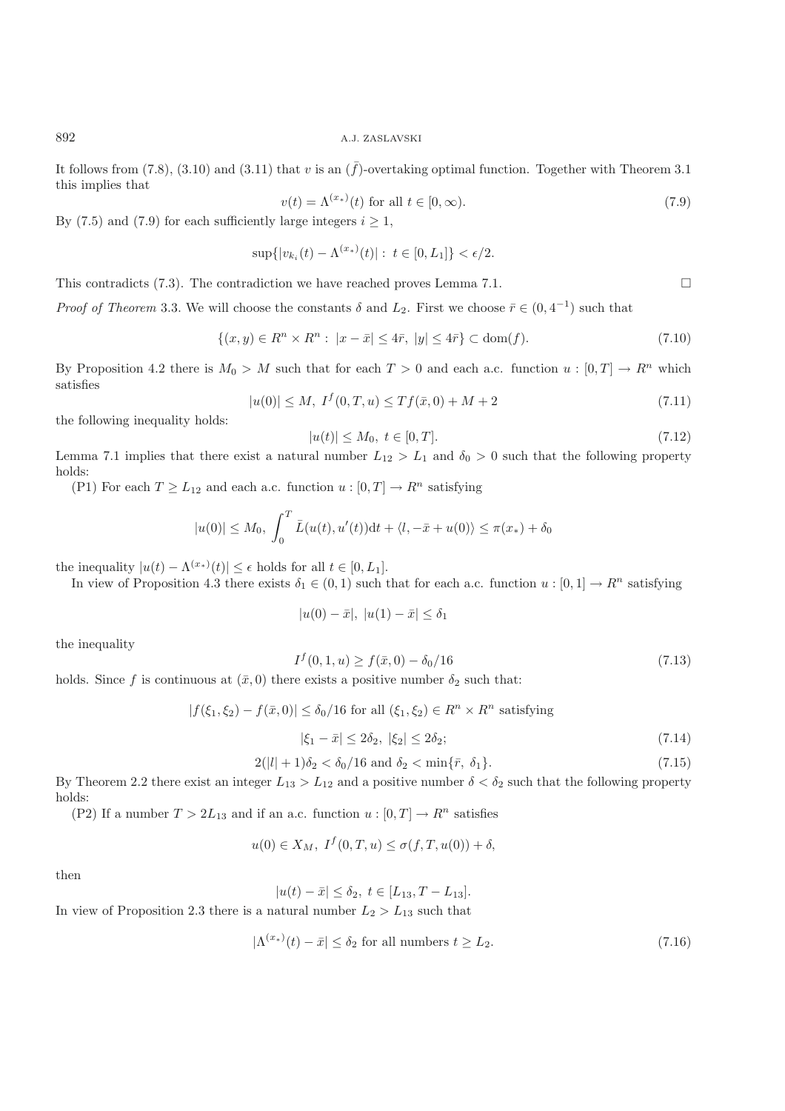It follows from (7.8), (3.10) and (3.11) that v is an  $(\bar{f})$ -overtaking optimal function. Together with Theorem 3.1 this implies that

$$
v(t) = \Lambda^{(x_*)}(t) \text{ for all } t \in [0, \infty). \tag{7.9}
$$

 $\Box$ 

By (7.5) and (7.9) for each sufficiently large integers  $i \ge 1$ ,

$$
\sup\{|v_{k_i}(t) - \Lambda^{(x_*)}(t)| : t \in [0, L_1]\} < \epsilon/2.
$$

This contradicts (7.3). The contradiction we have reached proves Lemma 7.1.

*Proof of Theorem* 3.3. We will choose the constants  $\delta$  and  $L_2$ . First we choose  $\bar{r} \in (0, 4^{-1})$  such that

$$
\{(x,y) \in R^n \times R^n : |x - \bar{x}| \le 4\bar{r}, |y| \le 4\bar{r}\} \subset \text{dom}(f). \tag{7.10}
$$

By Proposition 4.2 there is  $M_0 > M$  such that for each  $T > 0$  and each a.c. function  $u : [0, T] \to R^n$  which satisfies

$$
|u(0)| \le M, \ I^f(0,T,u) \le Tf(\bar{x},0) + M + 2 \tag{7.11}
$$

the following inequality holds:

$$
|u(t)| \le M_0, \ t \in [0, T]. \tag{7.12}
$$

Lemma 7.1 implies that there exist a natural number  $L_{12} > L_1$  and  $\delta_0 > 0$  such that the following property holds: holds:

(P1) For each  $T \ge L_{12}$  and each a.c. function  $u : [0, T] \to R^n$  satisfying

$$
|u(0)| \le M_0
$$
,  $\int_0^T \bar{L}(u(t), u'(t))dt + \langle l, -\bar{x} + u(0) \rangle \le \pi(x_*) + \delta_0$ 

the inequality  $|u(t) - \Lambda^{(x_*)}(t)| \leq \epsilon$  holds for all  $t \in [0, L_1]$ .<br>In view of Proposition 4.3 there exists  $\delta_t \in (0, 1)$  such that

In view of Proposition 4.3 there exists  $\delta_1 \in (0,1)$  such that for each a.c. function  $u : [0,1] \to \mathbb{R}^n$  satisfying

$$
|u(0) - \bar{x}|, |u(1) - \bar{x}| \le \delta_1
$$

the inequality

$$
I^f(0,1,u) \ge f(\bar{x},0) - \delta_0/16\tag{7.13}
$$

holds. Since f is continuous at  $(\bar{x}, 0)$  there exists a positive number  $\delta_2$  such that:

$$
|f(\xi_1, \xi_2) - f(\bar{x}, 0)| \le \delta_0/16
$$
 for all  $(\xi_1, \xi_2) \in R^n \times R^n$  satisfying

$$
|\xi_1 - \bar{x}| \le 2\delta_2, \ |\xi_2| \le 2\delta_2; \tag{7.14}
$$

$$
2(|l|+1)\delta_2 < \delta_0/16 \text{ and } \delta_2 < \min\{\bar{r}, \delta_1\}.
$$
\n
$$
\tag{7.15}
$$

By Theorem 2.2 there exist an integer  $L_{13} > L_{12}$  and a positive number  $\delta < \delta_2$  such that the following property holds: holds:

(P2) If a number  $T > 2L_{13}$  and if an a.c. function  $u : [0, T] \to R^n$  satisfies

$$
u(0) \in X_M, \ I^f(0,T,u) \le \sigma(f,T,u(0)) + \delta,
$$

then

$$
|u(t) - \bar{x}| \le \delta_2, \ t \in [L_{13}, T - L_{13}].
$$

In view of Proposition 2.3 there is a natural number  $L_2 > L_{13}$  such that

$$
|\Lambda^{(x_*)}(t) - \bar{x}| \le \delta_2 \text{ for all numbers } t \ge L_2. \tag{7.16}
$$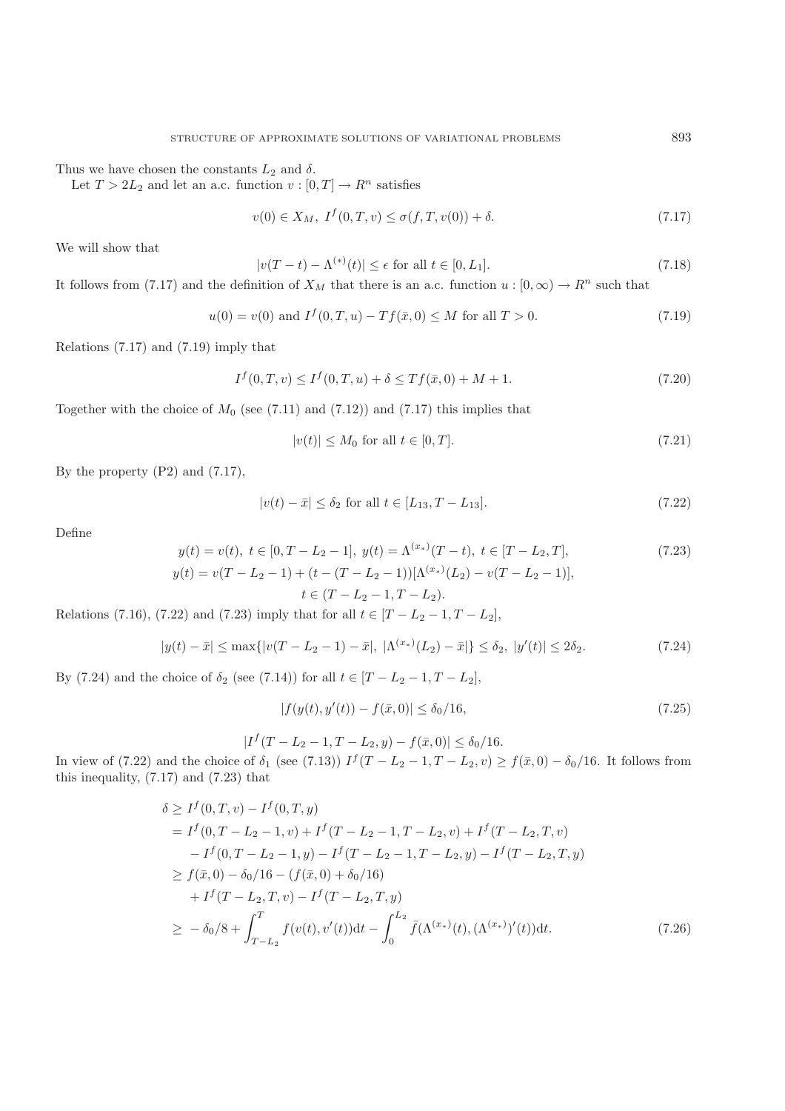Thus we have chosen the constants  $L_2$  and  $\delta$ .

Let  $T > 2L_2$  and let an a.c. function  $v : [0, T] \to R^n$  satisfies

$$
v(0) \in X_M, \ I^f(0, T, v) \le \sigma(f, T, v(0)) + \delta. \tag{7.17}
$$

We will show that

$$
|v(T-t) - \Lambda^{(*)}(t)| \le \epsilon \text{ for all } t \in [0, L_1].
$$
\n(7.18)

It follows from (7.17) and the definition of  $X_M$  that there is an a.c. function  $u : [0, \infty) \to \mathbb{R}^n$  such that

$$
u(0) = v(0) \text{ and } I^f(0, T, u) - Tf(\bar{x}, 0) \le M \text{ for all } T > 0.
$$
 (7.19)

Relations (7.17) and (7.19) imply that

$$
I^{f}(0,T,v) \leq I^{f}(0,T,u) + \delta \leq Tf(\bar{x},0) + M + 1.
$$
\n(7.20)

Together with the choice of  $M_0$  (see (7.11) and (7.12)) and (7.17) this implies that

$$
|v(t)| \le M_0 \text{ for all } t \in [0, T]. \tag{7.21}
$$

By the property (P2) and (7.17),

$$
|v(t) - \bar{x}| \le \delta_2 \text{ for all } t \in [L_{13}, T - L_{13}].
$$
 (7.22)

Define

$$
y(t) = v(t), \ t \in [0, T - L_2 - 1], \ y(t) = \Lambda^{(x_*)}(T - t), \ t \in [T - L_2, T],
$$
  
\n
$$
y(t) = v(T - L_2 - 1) + (t - (T - L_2 - 1))[\Lambda^{(x_*)}(L_2) - v(T - L_2 - 1)],
$$
  
\n
$$
t \in (T - L_2 - 1, T - L_2).
$$
\n(7.23)

Relations (7.16), (7.22) and (7.23) imply that for all  $t \in [T - L_2 - 1, T - L_2]$ ,

$$
|y(t) - \bar{x}| \le \max\{|v(T - L_2 - 1) - \bar{x}|, |\Lambda^{(x_*)}(L_2) - \bar{x}|\} \le \delta_2, |y'(t)| \le 2\delta_2.
$$
 (7.24)

By (7.24) and the choice of  $\delta_2$  (see (7.14)) for all  $t \in [T - L_2 - 1, T - L_2]$ ,

$$
|f(y(t), y'(t)) - f(\bar{x}, 0)| \le \delta_0/16, \tag{7.25}
$$

$$
|I^f(T - L_2 - 1, T - L_2, y) - f(\bar{x}, 0)| \le \delta_0/16.
$$

In view of (7.22) and the choice of  $\delta_1$  (see (7.13))  $I^f(T - L_2 - 1, T - L_2, v) \ge f(\bar{x}, 0) - \delta_0/16$ . It follows from this inequality (7.17) and (7.23) that this inequality, (7.17) and (7.23) that

$$
\delta \ge I^f(0, T, v) - I^f(0, T, y)
$$
  
=  $I^f(0, T - L_2 - 1, v) + I^f(T - L_2 - 1, T - L_2, v) + I^f(T - L_2, T, v)$   
 $- I^f(0, T - L_2 - 1, y) - I^f(T - L_2 - 1, T - L_2, y) - I^f(T - L_2, T, y)$   
 $\ge f(\bar{x}, 0) - \delta_0/16 - (f(\bar{x}, 0) + \delta_0/16)$   
 $+ I^f(T - L_2, T, v) - I^f(T - L_2, T, y)$   
 $\ge -\delta_0/8 + \int_{T - L_2}^T f(v(t), v'(t)) dt - \int_0^{L_2} \bar{f}(\Lambda^{(x_*)}(t), (\Lambda^{(x_*)})'(t)) dt.$  (7.26)